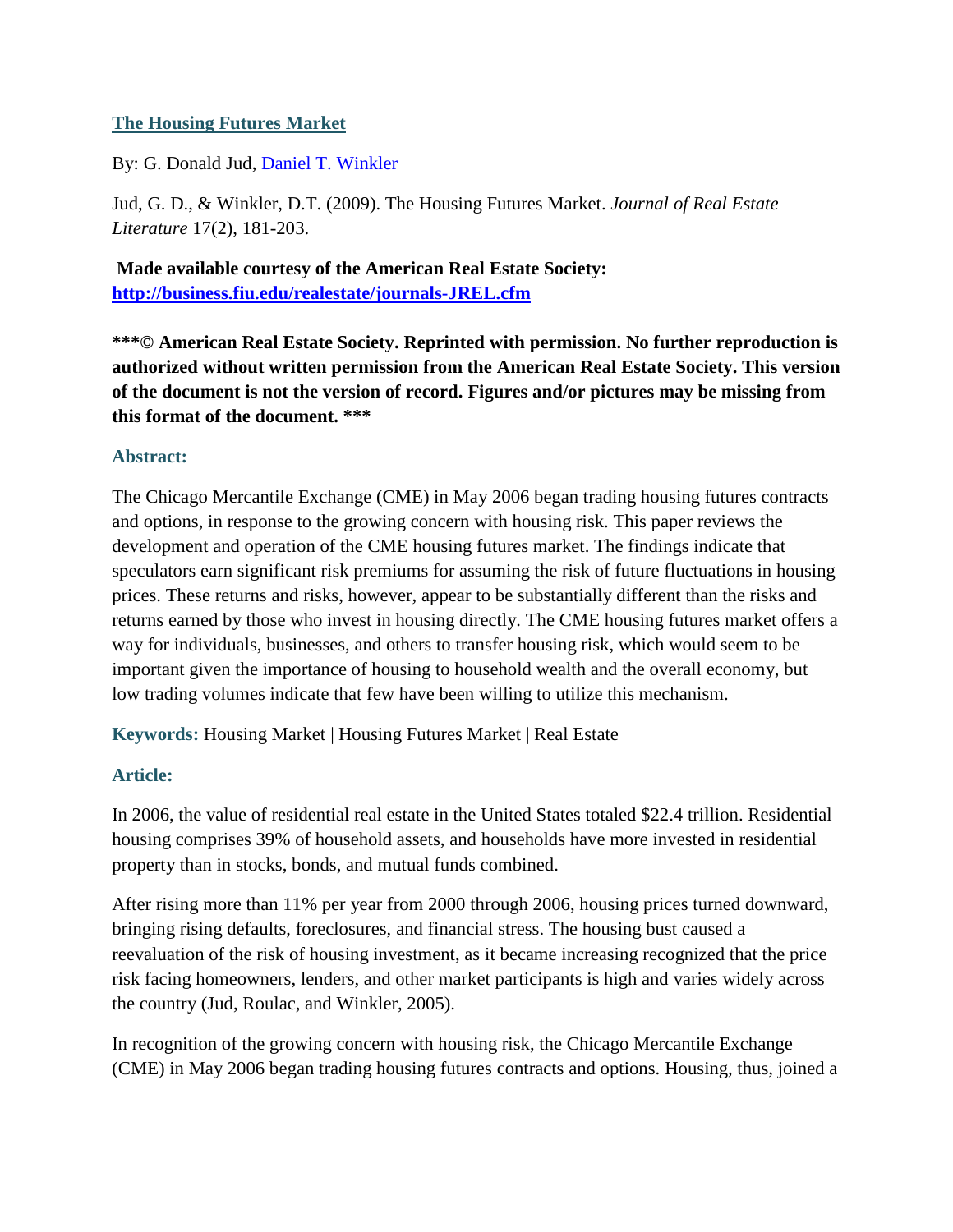#### **The Housing Futures Market**

By: G. Donald Jud, [Daniel T. Winkler](http://libres.uncg.edu/ir/uncg/clist.aspx?id=871)

Jud, G. D., & Winkler, D.T. (2009). The Housing Futures Market. *Journal of Real Estate Literature* 17(2), 181-203.

**Made available courtesy of the American Real Estate Society: <http://business.fiu.edu/realestate/journals-JREL.cfm>**

**\*\*\*© American Real Estate Society. Reprinted with permission. No further reproduction is authorized without written permission from the American Real Estate Society. This version of the document is not the version of record. Figures and/or pictures may be missing from this format of the document. \*\*\***

#### **Abstract:**

The Chicago Mercantile Exchange (CME) in May 2006 began trading housing futures contracts and options, in response to the growing concern with housing risk. This paper reviews the development and operation of the CME housing futures market. The findings indicate that speculators earn significant risk premiums for assuming the risk of future fluctuations in housing prices. These returns and risks, however, appear to be substantially different than the risks and returns earned by those who invest in housing directly. The CME housing futures market offers a way for individuals, businesses, and others to transfer housing risk, which would seem to be important given the importance of housing to household wealth and the overall economy, but low trading volumes indicate that few have been willing to utilize this mechanism.

**Keywords:** Housing Market | Housing Futures Market | Real Estate

#### **Article:**

In 2006, the value of residential real estate in the United States totaled \$22.4 trillion. Residential housing comprises 39% of household assets, and households have more invested in residential property than in stocks, bonds, and mutual funds combined.

After rising more than 11% per year from 2000 through 2006, housing prices turned downward, bringing rising defaults, foreclosures, and financial stress. The housing bust caused a reevaluation of the risk of housing investment, as it became increasing recognized that the price risk facing homeowners, lenders, and other market participants is high and varies widely across the country (Jud, Roulac, and Winkler, 2005).

In recognition of the growing concern with housing risk, the Chicago Mercantile Exchange (CME) in May 2006 began trading housing futures contracts and options. Housing, thus, joined a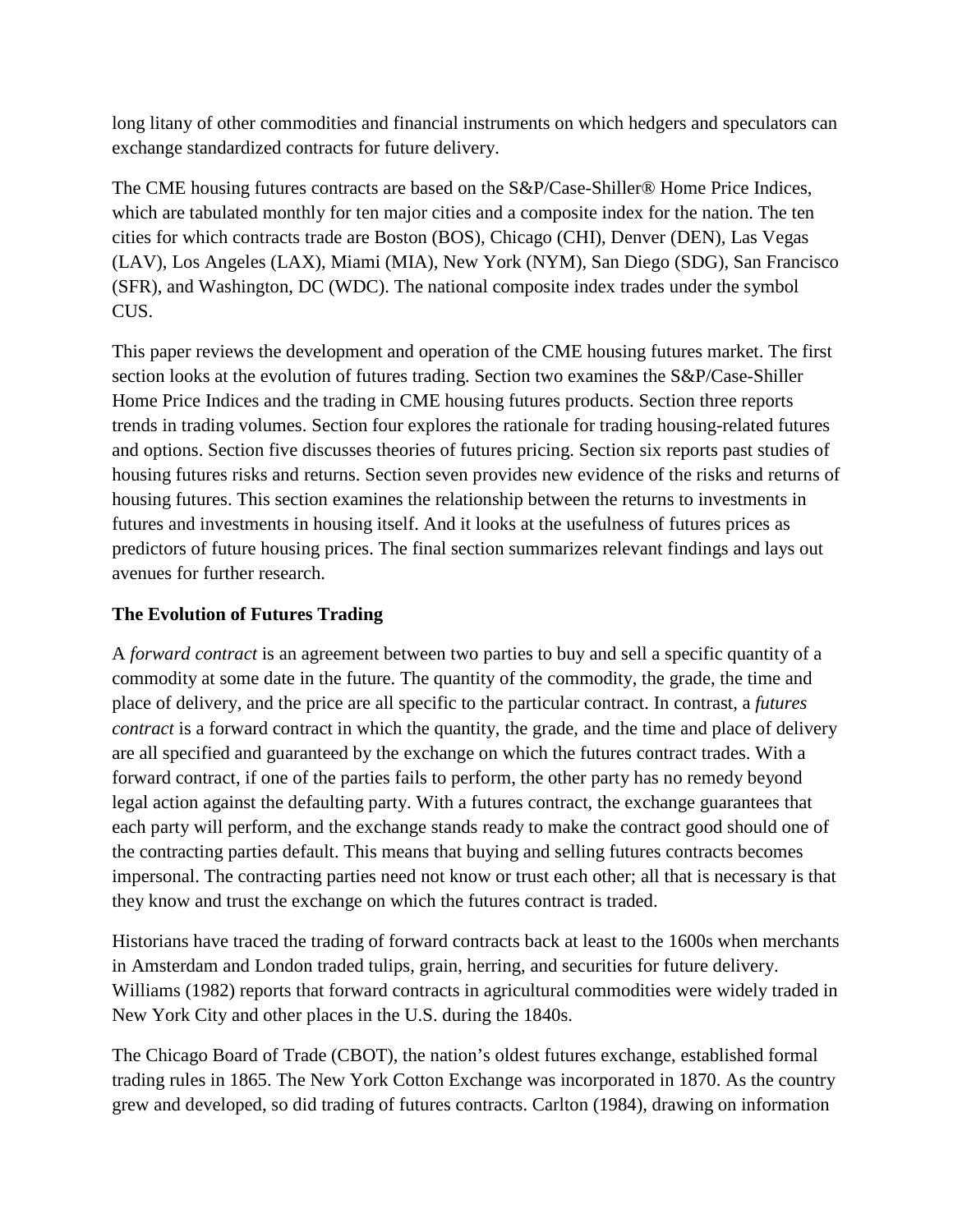long litany of other commodities and financial instruments on which hedgers and speculators can exchange standardized contracts for future delivery.

The CME housing futures contracts are based on the S&P/Case-Shiller® Home Price Indices, which are tabulated monthly for ten major cities and a composite index for the nation. The ten cities for which contracts trade are Boston (BOS), Chicago (CHI), Denver (DEN), Las Vegas (LAV), Los Angeles (LAX), Miami (MIA), New York (NYM), San Diego (SDG), San Francisco (SFR), and Washington, DC (WDC). The national composite index trades under the symbol CUS.

This paper reviews the development and operation of the CME housing futures market. The first section looks at the evolution of futures trading. Section two examines the S&P/Case-Shiller Home Price Indices and the trading in CME housing futures products. Section three reports trends in trading volumes. Section four explores the rationale for trading housing-related futures and options. Section five discusses theories of futures pricing. Section six reports past studies of housing futures risks and returns. Section seven provides new evidence of the risks and returns of housing futures. This section examines the relationship between the returns to investments in futures and investments in housing itself. And it looks at the usefulness of futures prices as predictors of future housing prices. The final section summarizes relevant findings and lays out avenues for further research.

#### **The Evolution of Futures Trading**

A *forward contract* is an agreement between two parties to buy and sell a specific quantity of a commodity at some date in the future. The quantity of the commodity, the grade, the time and place of delivery, and the price are all specific to the particular contract. In contrast, a *futures contract* is a forward contract in which the quantity, the grade, and the time and place of delivery are all specified and guaranteed by the exchange on which the futures contract trades. With a forward contract, if one of the parties fails to perform, the other party has no remedy beyond legal action against the defaulting party. With a futures contract, the exchange guarantees that each party will perform, and the exchange stands ready to make the contract good should one of the contracting parties default. This means that buying and selling futures contracts becomes impersonal. The contracting parties need not know or trust each other; all that is necessary is that they know and trust the exchange on which the futures contract is traded.

Historians have traced the trading of forward contracts back at least to the 1600s when merchants in Amsterdam and London traded tulips, grain, herring, and securities for future delivery. Williams (1982) reports that forward contracts in agricultural commodities were widely traded in New York City and other places in the U.S. during the 1840s.

The Chicago Board of Trade (CBOT), the nation's oldest futures exchange, established formal trading rules in 1865. The New York Cotton Exchange was incorporated in 1870. As the country grew and developed, so did trading of futures contracts. Carlton (1984), drawing on information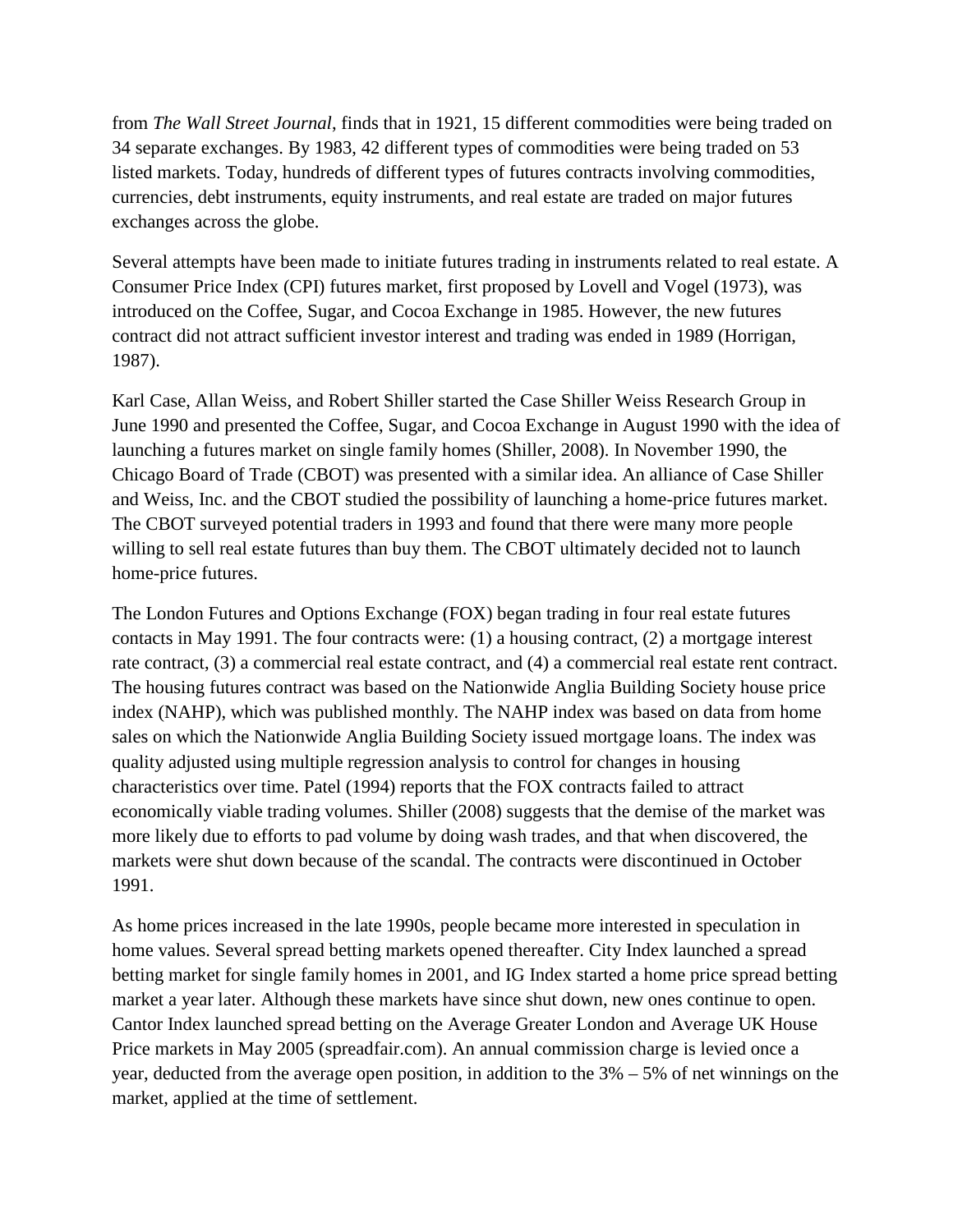from *The Wall Street Journal*, finds that in 1921, 15 different commodities were being traded on 34 separate exchanges. By 1983, 42 different types of commodities were being traded on 53 listed markets. Today, hundreds of different types of futures contracts involving commodities, currencies, debt instruments, equity instruments, and real estate are traded on major futures exchanges across the globe.

Several attempts have been made to initiate futures trading in instruments related to real estate. A Consumer Price Index (CPI) futures market, first proposed by Lovell and Vogel (1973), was introduced on the Coffee, Sugar, and Cocoa Exchange in 1985. However, the new futures contract did not attract sufficient investor interest and trading was ended in 1989 (Horrigan, 1987).

Karl Case, Allan Weiss, and Robert Shiller started the Case Shiller Weiss Research Group in June 1990 and presented the Coffee, Sugar, and Cocoa Exchange in August 1990 with the idea of launching a futures market on single family homes (Shiller, 2008). In November 1990, the Chicago Board of Trade (CBOT) was presented with a similar idea. An alliance of Case Shiller and Weiss, Inc. and the CBOT studied the possibility of launching a home-price futures market. The CBOT surveyed potential traders in 1993 and found that there were many more people willing to sell real estate futures than buy them. The CBOT ultimately decided not to launch home-price futures.

The London Futures and Options Exchange (FOX) began trading in four real estate futures contacts in May 1991. The four contracts were: (1) a housing contract, (2) a mortgage interest rate contract, (3) a commercial real estate contract, and (4) a commercial real estate rent contract. The housing futures contract was based on the Nationwide Anglia Building Society house price index (NAHP), which was published monthly. The NAHP index was based on data from home sales on which the Nationwide Anglia Building Society issued mortgage loans. The index was quality adjusted using multiple regression analysis to control for changes in housing characteristics over time. Patel (1994) reports that the FOX contracts failed to attract economically viable trading volumes. Shiller (2008) suggests that the demise of the market was more likely due to efforts to pad volume by doing wash trades, and that when discovered, the markets were shut down because of the scandal. The contracts were discontinued in October 1991.

As home prices increased in the late 1990s, people became more interested in speculation in home values. Several spread betting markets opened thereafter. City Index launched a spread betting market for single family homes in 2001, and IG Index started a home price spread betting market a year later. Although these markets have since shut down, new ones continue to open. Cantor Index launched spread betting on the Average Greater London and Average UK House Price markets in May 2005 (spreadfair.com). An annual commission charge is levied once a year, deducted from the average open position, in addition to the  $3\% - 5\%$  of net winnings on the market, applied at the time of settlement.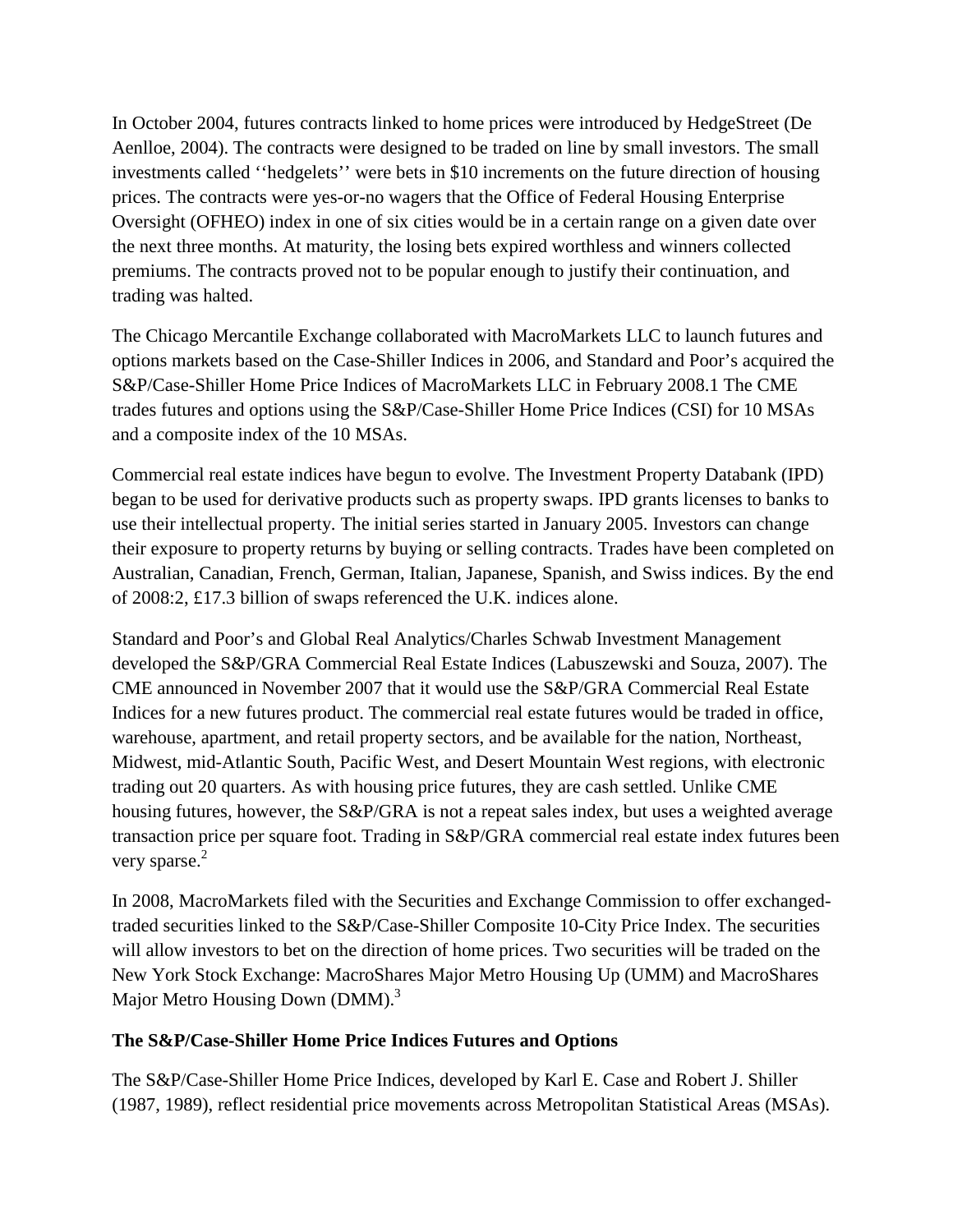In October 2004, futures contracts linked to home prices were introduced by HedgeStreet (De Aenlloe, 2004). The contracts were designed to be traded on line by small investors. The small investments called ''hedgelets'' were bets in \$10 increments on the future direction of housing prices. The contracts were yes-or-no wagers that the Office of Federal Housing Enterprise Oversight (OFHEO) index in one of six cities would be in a certain range on a given date over the next three months. At maturity, the losing bets expired worthless and winners collected premiums. The contracts proved not to be popular enough to justify their continuation, and trading was halted.

The Chicago Mercantile Exchange collaborated with MacroMarkets LLC to launch futures and options markets based on the Case-Shiller Indices in 2006, and Standard and Poor's acquired the S&P/Case-Shiller Home Price Indices of MacroMarkets LLC in February 2008.1 The CME trades futures and options using the S&P/Case-Shiller Home Price Indices (CSI) for 10 MSAs and a composite index of the 10 MSAs.

Commercial real estate indices have begun to evolve. The Investment Property Databank (IPD) began to be used for derivative products such as property swaps. IPD grants licenses to banks to use their intellectual property. The initial series started in January 2005. Investors can change their exposure to property returns by buying or selling contracts. Trades have been completed on Australian, Canadian, French, German, Italian, Japanese, Spanish, and Swiss indices. By the end of 2008:2, £17.3 billion of swaps referenced the U.K. indices alone.

Standard and Poor's and Global Real Analytics/Charles Schwab Investment Management developed the S&P/GRA Commercial Real Estate Indices (Labuszewski and Souza, 2007). The CME announced in November 2007 that it would use the S&P/GRA Commercial Real Estate Indices for a new futures product. The commercial real estate futures would be traded in office, warehouse, apartment, and retail property sectors, and be available for the nation, Northeast, Midwest, mid-Atlantic South, Pacific West, and Desert Mountain West regions, with electronic trading out 20 quarters. As with housing price futures, they are cash settled. Unlike CME housing futures, however, the S&P/GRA is not a repeat sales index, but uses a weighted average transaction price per square foot. Trading in S&P/GRA commercial real estate index futures been very sparse. $2$ 

In 2008, MacroMarkets filed with the Securities and Exchange Commission to offer exchangedtraded securities linked to the S&P/Case-Shiller Composite 10-City Price Index. The securities will allow investors to bet on the direction of home prices. Two securities will be traded on the New York Stock Exchange: MacroShares Major Metro Housing Up (UMM) and MacroShares Major Metro Housing Down (DMM).<sup>3</sup>

#### **The S&P/Case-Shiller Home Price Indices Futures and Options**

The S&P/Case-Shiller Home Price Indices, developed by Karl E. Case and Robert J. Shiller (1987, 1989), reflect residential price movements across Metropolitan Statistical Areas (MSAs).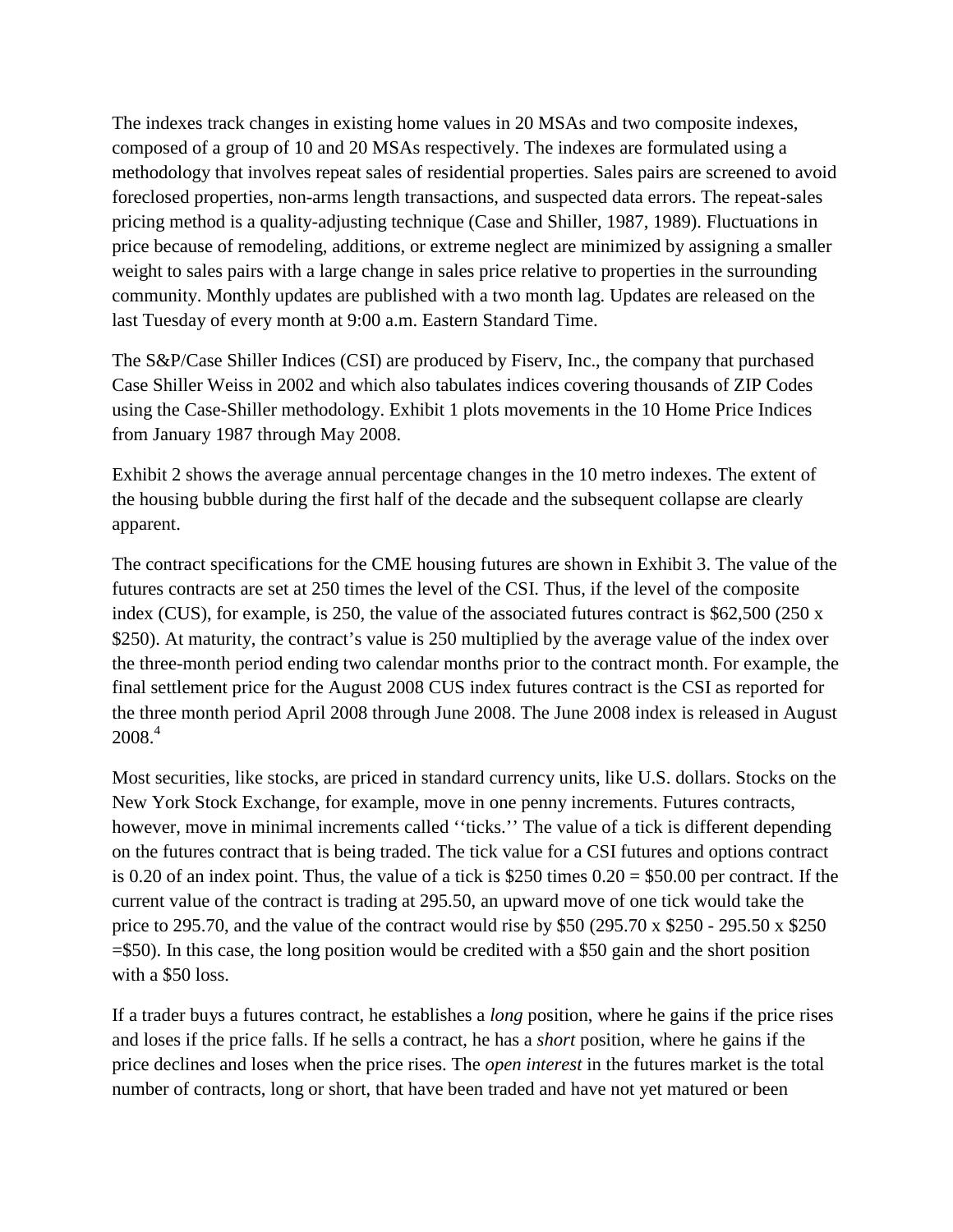The indexes track changes in existing home values in 20 MSAs and two composite indexes, composed of a group of 10 and 20 MSAs respectively. The indexes are formulated using a methodology that involves repeat sales of residential properties. Sales pairs are screened to avoid foreclosed properties, non-arms length transactions, and suspected data errors. The repeat-sales pricing method is a quality-adjusting technique (Case and Shiller, 1987, 1989). Fluctuations in price because of remodeling, additions, or extreme neglect are minimized by assigning a smaller weight to sales pairs with a large change in sales price relative to properties in the surrounding community. Monthly updates are published with a two month lag. Updates are released on the last Tuesday of every month at 9:00 a.m. Eastern Standard Time.

The S&P/Case Shiller Indices (CSI) are produced by Fiserv, Inc., the company that purchased Case Shiller Weiss in 2002 and which also tabulates indices covering thousands of ZIP Codes using the Case-Shiller methodology. Exhibit 1 plots movements in the 10 Home Price Indices from January 1987 through May 2008.

Exhibit 2 shows the average annual percentage changes in the 10 metro indexes. The extent of the housing bubble during the first half of the decade and the subsequent collapse are clearly apparent.

The contract specifications for the CME housing futures are shown in Exhibit 3. The value of the futures contracts are set at 250 times the level of the CSI. Thus, if the level of the composite index (CUS), for example, is 250, the value of the associated futures contract is \$62,500 (250 x \$250). At maturity, the contract's value is 250 multiplied by the average value of the index over the three-month period ending two calendar months prior to the contract month. For example, the final settlement price for the August 2008 CUS index futures contract is the CSI as reported for the three month period April 2008 through June 2008. The June 2008 index is released in August  $2008.<sup>4</sup>$ 

Most securities, like stocks, are priced in standard currency units, like U.S. dollars. Stocks on the New York Stock Exchange, for example, move in one penny increments. Futures contracts, however, move in minimal increments called "ticks." The value of a tick is different depending on the futures contract that is being traded. The tick value for a CSI futures and options contract is 0.20 of an index point. Thus, the value of a tick is  $$250$  times  $0.20 = $50.00$  per contract. If the current value of the contract is trading at 295.50, an upward move of one tick would take the price to 295.70, and the value of the contract would rise by \$50 (295.70 x \$250 - 295.50 x \$250 =\$50). In this case, the long position would be credited with a \$50 gain and the short position with a \$50 loss.

If a trader buys a futures contract, he establishes a *long* position, where he gains if the price rises and loses if the price falls. If he sells a contract, he has a *short* position, where he gains if the price declines and loses when the price rises. The *open interest* in the futures market is the total number of contracts, long or short, that have been traded and have not yet matured or been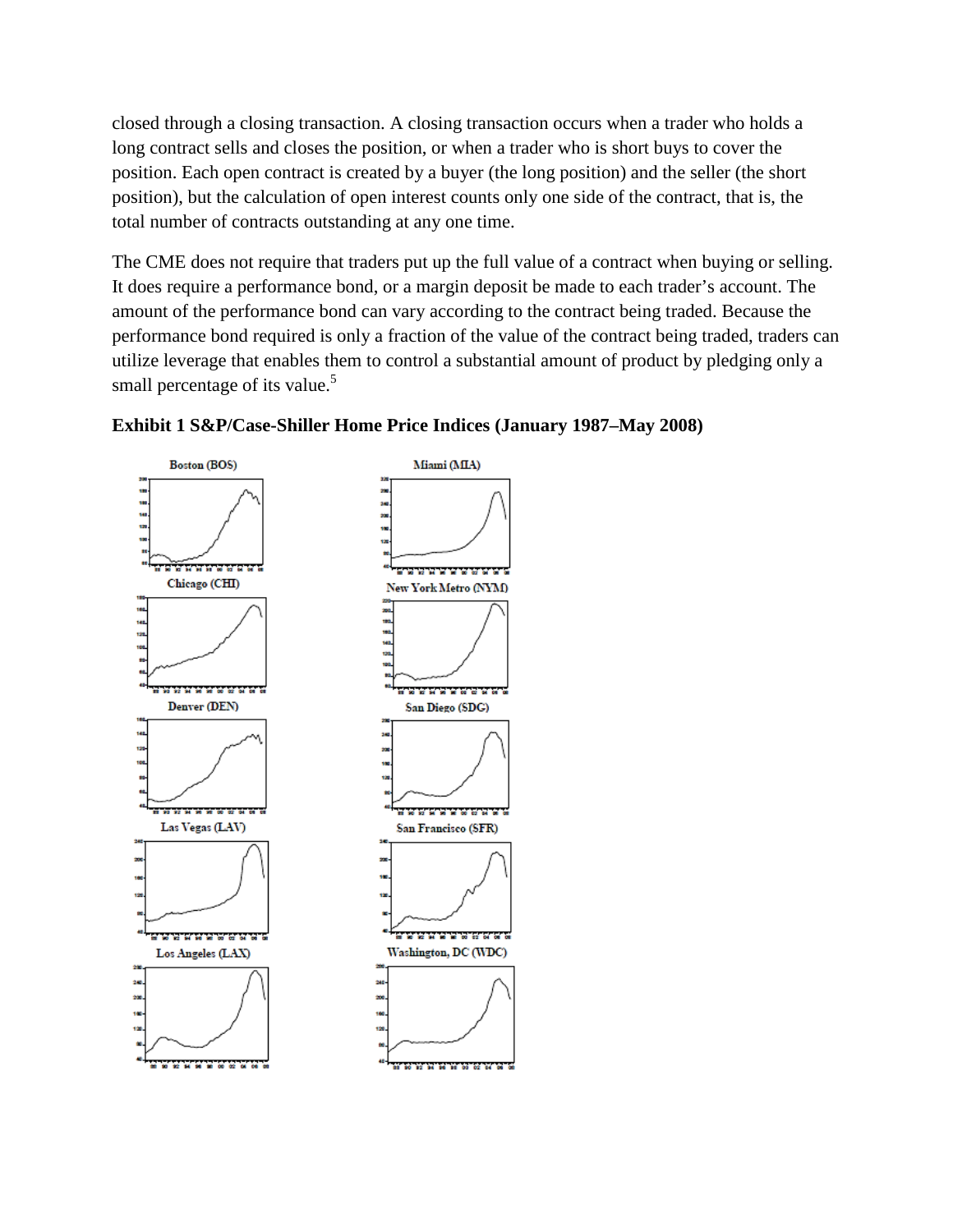closed through a closing transaction. A closing transaction occurs when a trader who holds a long contract sells and closes the position, or when a trader who is short buys to cover the position. Each open contract is created by a buyer (the long position) and the seller (the short position), but the calculation of open interest counts only one side of the contract, that is, the total number of contracts outstanding at any one time.

The CME does not require that traders put up the full value of a contract when buying or selling. It does require a performance bond, or a margin deposit be made to each trader's account. The amount of the performance bond can vary according to the contract being traded. Because the performance bond required is only a fraction of the value of the contract being traded, traders can utilize leverage that enables them to control a substantial amount of product by pledging only a small percentage of its value.<sup>5</sup>



#### **Exhibit 1 S&P/Case-Shiller Home Price Indices (January 1987–May 2008)**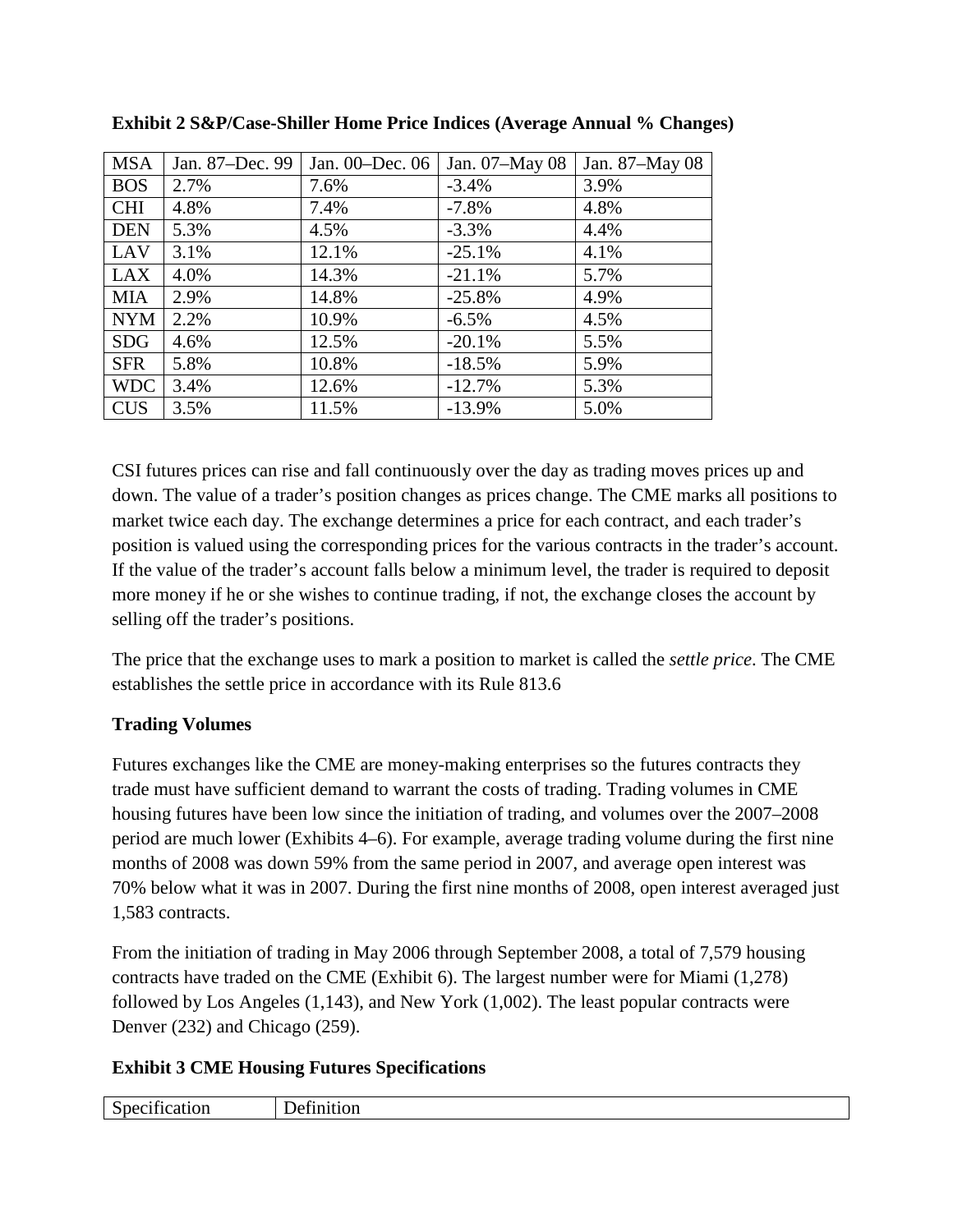| <b>MSA</b> | Jan. 87-Dec. 99 | Jan. 00–Dec. 06 | Jan. 07-May 08 | Jan. 87–May 08 |
|------------|-----------------|-----------------|----------------|----------------|
| <b>BOS</b> | 2.7%            | 7.6%            | $-3.4%$        | 3.9%           |
| <b>CHI</b> | 4.8%            | 7.4%            | $-7.8%$        | 4.8%           |
| <b>DEN</b> | 5.3%            | 4.5%            | $-3.3%$        | 4.4%           |
| LAV        | 3.1%            | 12.1%           | $-25.1%$       | 4.1%           |
| <b>LAX</b> | 4.0%            | 14.3%           | $-21.1%$       | 5.7%           |
| <b>MIA</b> | 2.9%            | 14.8%           | $-25.8%$       | 4.9%           |
| <b>NYM</b> | 2.2%            | 10.9%           | $-6.5\%$       | 4.5%           |
| <b>SDG</b> | 4.6%            | 12.5%           | $-20.1%$       | 5.5%           |
| <b>SFR</b> | 5.8%            | 10.8%           | $-18.5%$       | 5.9%           |
| <b>WDC</b> | 3.4%            | 12.6%           | $-12.7%$       | 5.3%           |
| <b>CUS</b> | 3.5%            | 11.5%           | $-13.9%$       | 5.0%           |

**Exhibit 2 S&P/Case-Shiller Home Price Indices (Average Annual % Changes)**

CSI futures prices can rise and fall continuously over the day as trading moves prices up and down. The value of a trader's position changes as prices change. The CME marks all positions to market twice each day. The exchange determines a price for each contract, and each trader's position is valued using the corresponding prices for the various contracts in the trader's account. If the value of the trader's account falls below a minimum level, the trader is required to deposit more money if he or she wishes to continue trading, if not, the exchange closes the account by selling off the trader's positions.

The price that the exchange uses to mark a position to market is called the *settle price*. The CME establishes the settle price in accordance with its Rule 813.6

# **Trading Volumes**

Futures exchanges like the CME are money-making enterprises so the futures contracts they trade must have sufficient demand to warrant the costs of trading. Trading volumes in CME housing futures have been low since the initiation of trading, and volumes over the 2007–2008 period are much lower (Exhibits 4–6). For example, average trading volume during the first nine months of 2008 was down 59% from the same period in 2007, and average open interest was 70% below what it was in 2007. During the first nine months of 2008, open interest averaged just 1,583 contracts.

From the initiation of trading in May 2006 through September 2008, a total of 7,579 housing contracts have traded on the CME (Exhibit 6). The largest number were for Miami (1,278) followed by Los Angeles (1,143), and New York (1,002). The least popular contracts were Denver (232) and Chicago (259).

# **Exhibit 3 CME Housing Futures Specifications**

| $\sim$<br>$\sim$<br>৲ै। ਮਦ<br>'Uh<br>ຼ<br>. | $\sim$ |
|---------------------------------------------|--------|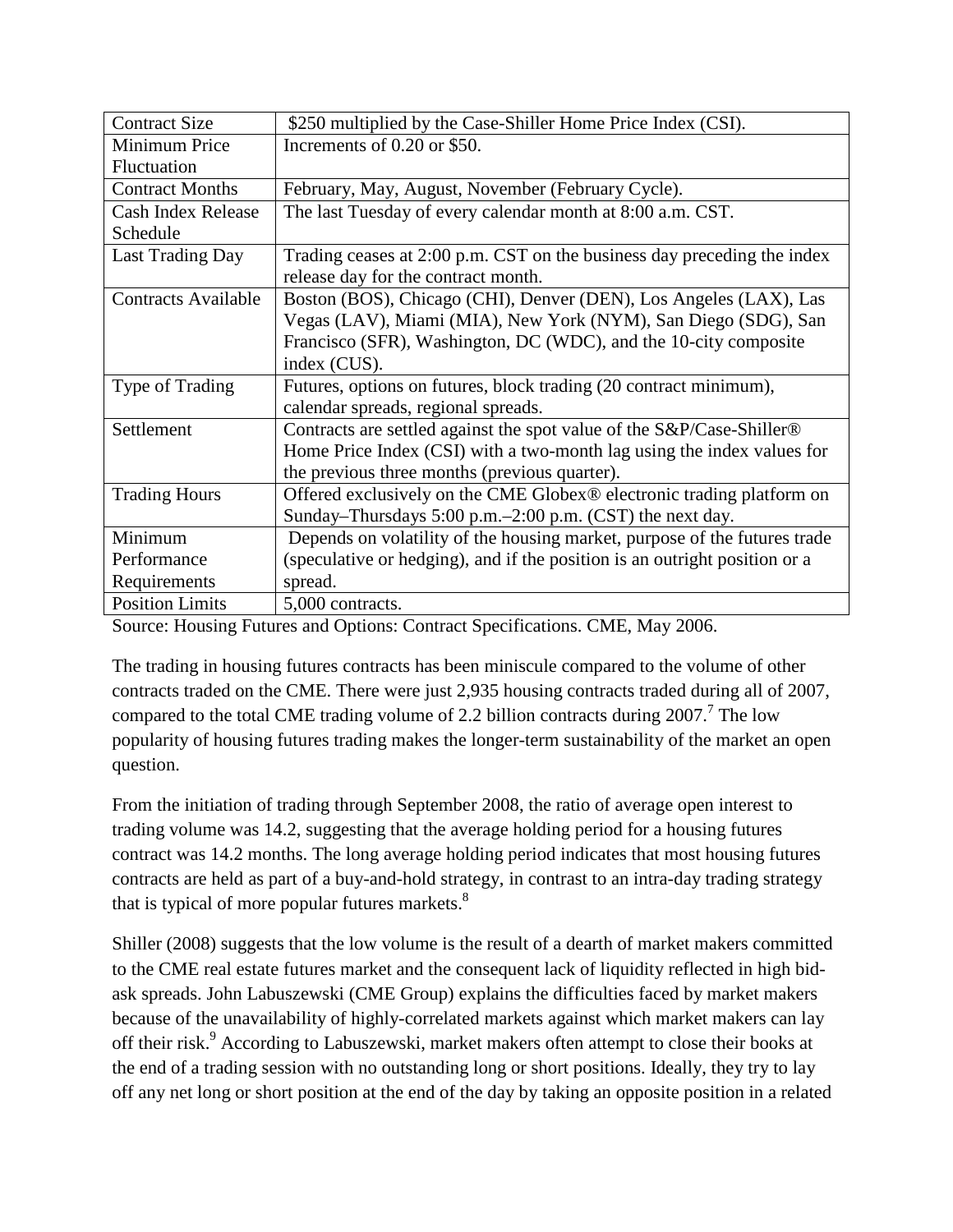| <b>Contract Size</b>       | \$250 multiplied by the Case-Shiller Home Price Index (CSI).                      |
|----------------------------|-----------------------------------------------------------------------------------|
| Minimum Price              | Increments of 0.20 or \$50.                                                       |
| Fluctuation                |                                                                                   |
| <b>Contract Months</b>     | February, May, August, November (February Cycle).                                 |
| Cash Index Release         | The last Tuesday of every calendar month at 8:00 a.m. CST.                        |
| Schedule                   |                                                                                   |
| <b>Last Trading Day</b>    | Trading ceases at 2:00 p.m. CST on the business day preceding the index           |
|                            | release day for the contract month.                                               |
| <b>Contracts Available</b> | Boston (BOS), Chicago (CHI), Denver (DEN), Los Angeles (LAX), Las                 |
|                            | Vegas (LAV), Miami (MIA), New York (NYM), San Diego (SDG), San                    |
|                            | Francisco (SFR), Washington, DC (WDC), and the 10-city composite                  |
|                            | index (CUS).                                                                      |
| Type of Trading            | Futures, options on futures, block trading (20 contract minimum),                 |
|                            | calendar spreads, regional spreads.                                               |
| Settlement                 | Contracts are settled against the spot value of the S&P/Case-Shiller®             |
|                            | Home Price Index (CSI) with a two-month lag using the index values for            |
|                            | the previous three months (previous quarter).                                     |
| <b>Trading Hours</b>       | Offered exclusively on the CME Globex <sup>®</sup> electronic trading platform on |
|                            | Sunday–Thursdays 5:00 p.m.–2:00 p.m. (CST) the next day.                          |
| Minimum                    | Depends on volatility of the housing market, purpose of the futures trade         |
| Performance                | (speculative or hedging), and if the position is an outright position or a        |
| Requirements               | spread.                                                                           |
| <b>Position Limits</b>     | 5,000 contracts.                                                                  |

Source: Housing Futures and Options: Contract Specifications. CME, May 2006.

The trading in housing futures contracts has been miniscule compared to the volume of other contracts traded on the CME. There were just 2,935 housing contracts traded during all of 2007, compared to the total CME trading volume of 2.2 billion contracts during  $2007$ .<sup>7</sup> The low popularity of housing futures trading makes the longer-term sustainability of the market an open question.

From the initiation of trading through September 2008, the ratio of average open interest to trading volume was 14.2, suggesting that the average holding period for a housing futures contract was 14.2 months. The long average holding period indicates that most housing futures contracts are held as part of a buy-and-hold strategy, in contrast to an intra-day trading strategy that is typical of more popular futures markets. $8<sup>8</sup>$ 

Shiller (2008) suggests that the low volume is the result of a dearth of market makers committed to the CME real estate futures market and the consequent lack of liquidity reflected in high bidask spreads. John Labuszewski (CME Group) explains the difficulties faced by market makers because of the unavailability of highly-correlated markets against which market makers can lay off their risk.<sup>9</sup> According to Labuszewski, market makers often attempt to close their books at the end of a trading session with no outstanding long or short positions. Ideally, they try to lay off any net long or short position at the end of the day by taking an opposite position in a related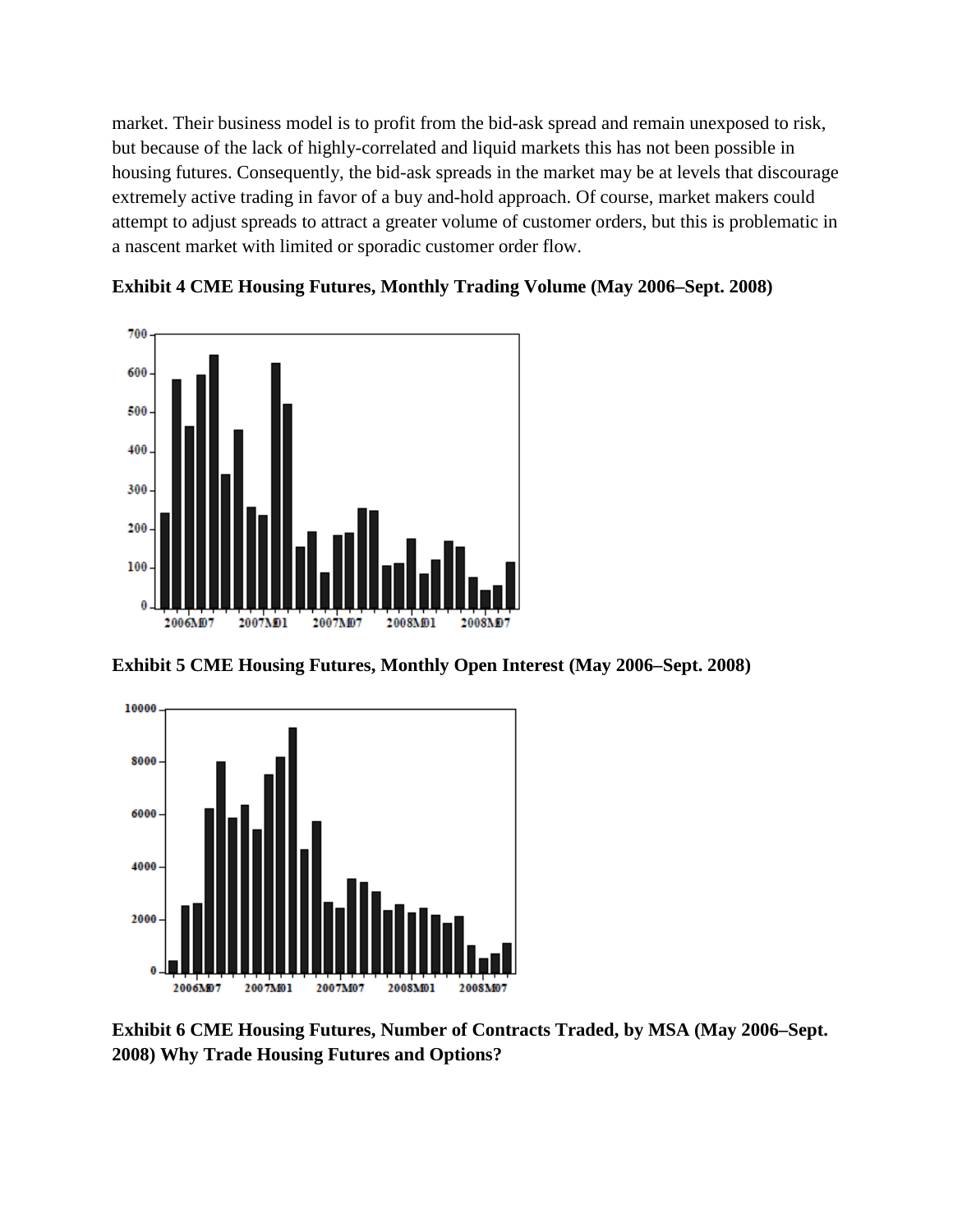market. Their business model is to profit from the bid-ask spread and remain unexposed to risk, but because of the lack of highly-correlated and liquid markets this has not been possible in housing futures. Consequently, the bid-ask spreads in the market may be at levels that discourage extremely active trading in favor of a buy and-hold approach. Of course, market makers could attempt to adjust spreads to attract a greater volume of customer orders, but this is problematic in a nascent market with limited or sporadic customer order flow.





**Exhibit 5 CME Housing Futures, Monthly Open Interest (May 2006–Sept. 2008)**



**Exhibit 6 CME Housing Futures, Number of Contracts Traded, by MSA (May 2006–Sept. 2008) Why Trade Housing Futures and Options?**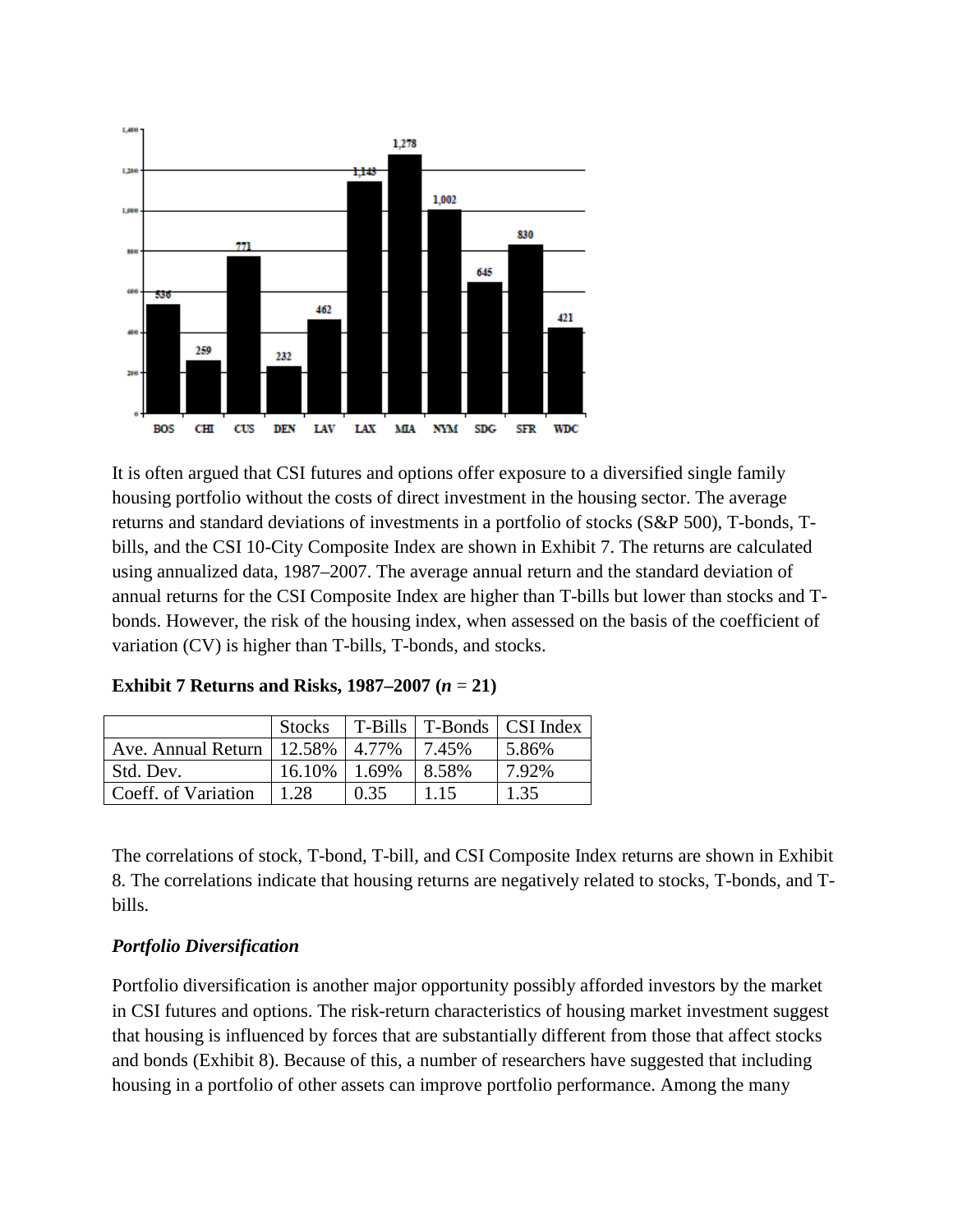

It is often argued that CSI futures and options offer exposure to a diversified single family housing portfolio without the costs of direct investment in the housing sector. The average returns and standard deviations of investments in a portfolio of stocks (S&P 500), T-bonds, Tbills, and the CSI 10-City Composite Index are shown in Exhibit 7. The returns are calculated using annualized data, 1987–2007. The average annual return and the standard deviation of annual returns for the CSI Composite Index are higher than T-bills but lower than stocks and Tbonds. However, the risk of the housing index, when assessed on the basis of the coefficient of variation (CV) is higher than T-bills, T-bonds, and stocks.

|                                             |                   |            |       | Stocks   T-Bills   T-Bonds   CSI Index |
|---------------------------------------------|-------------------|------------|-------|----------------------------------------|
| Ave. Annual Return   12.58%   4.77%   7.45% |                   |            |       | $15.86\%$                              |
| Std. Dev.                                   | $16.10\%$   1.69% |            | 8.58% | 7.92%                                  |
| Coeff. of Variation                         | 1.28              | $\pm 0.35$ | 1.15  | 1.35                                   |

**Exhibit 7 Returns and Risks, 1987–2007**  $(n = 21)$ 

The correlations of stock, T-bond, T-bill, and CSI Composite Index returns are shown in Exhibit 8. The correlations indicate that housing returns are negatively related to stocks, T-bonds, and Tbills.

#### *Portfolio Diversification*

Portfolio diversification is another major opportunity possibly afforded investors by the market in CSI futures and options. The risk-return characteristics of housing market investment suggest that housing is influenced by forces that are substantially different from those that affect stocks and bonds (Exhibit 8). Because of this, a number of researchers have suggested that including housing in a portfolio of other assets can improve portfolio performance. Among the many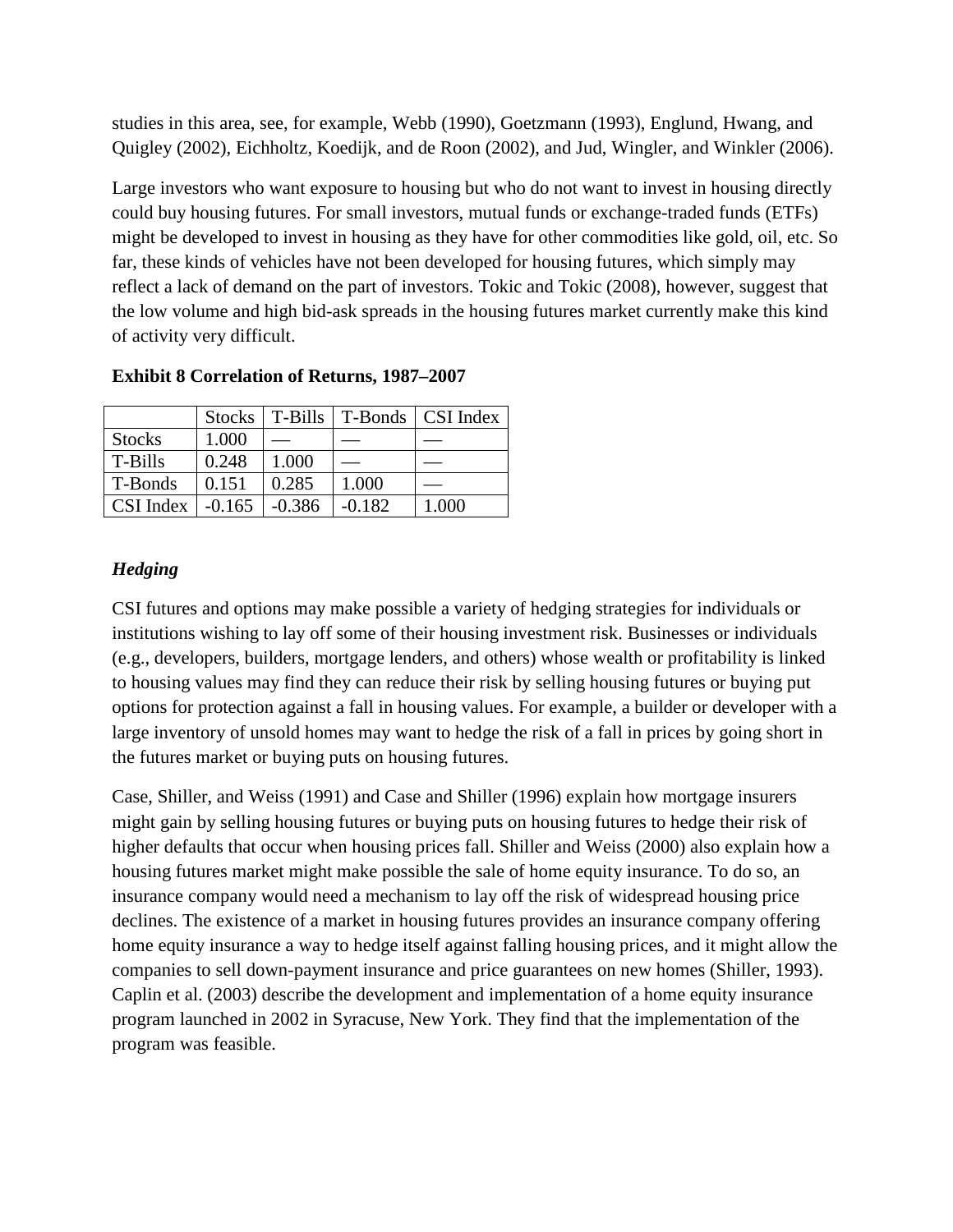studies in this area, see, for example, Webb (1990), Goetzmann (1993), Englund, Hwang, and Quigley (2002), Eichholtz, Koedijk, and de Roon (2002), and Jud, Wingler, and Winkler (2006).

Large investors who want exposure to housing but who do not want to invest in housing directly could buy housing futures. For small investors, mutual funds or exchange-traded funds (ETFs) might be developed to invest in housing as they have for other commodities like gold, oil, etc. So far, these kinds of vehicles have not been developed for housing futures, which simply may reflect a lack of demand on the part of investors. Tokic and Tokic (2008), however, suggest that the low volume and high bid-ask spreads in the housing futures market currently make this kind of activity very difficult.

|               |          | Stocks   T-Bills |          | T-Bonds   CSI Index |
|---------------|----------|------------------|----------|---------------------|
| <b>Stocks</b> | 1.000    |                  |          |                     |
| T-Bills       | 0.248    | 1.000            |          |                     |
| T-Bonds       | 0.151    | 0.285            | 1.000    |                     |
| CSI Index     | $-0.165$ | $-0.386$         | $-0.182$ | 1.000               |

**Exhibit 8 Correlation of Returns, 1987–2007**

# *Hedging*

CSI futures and options may make possible a variety of hedging strategies for individuals or institutions wishing to lay off some of their housing investment risk. Businesses or individuals (e.g., developers, builders, mortgage lenders, and others) whose wealth or profitability is linked to housing values may find they can reduce their risk by selling housing futures or buying put options for protection against a fall in housing values. For example, a builder or developer with a large inventory of unsold homes may want to hedge the risk of a fall in prices by going short in the futures market or buying puts on housing futures.

Case, Shiller, and Weiss (1991) and Case and Shiller (1996) explain how mortgage insurers might gain by selling housing futures or buying puts on housing futures to hedge their risk of higher defaults that occur when housing prices fall. Shiller and Weiss (2000) also explain how a housing futures market might make possible the sale of home equity insurance. To do so, an insurance company would need a mechanism to lay off the risk of widespread housing price declines. The existence of a market in housing futures provides an insurance company offering home equity insurance a way to hedge itself against falling housing prices, and it might allow the companies to sell down-payment insurance and price guarantees on new homes (Shiller, 1993). Caplin et al. (2003) describe the development and implementation of a home equity insurance program launched in 2002 in Syracuse, New York. They find that the implementation of the program was feasible.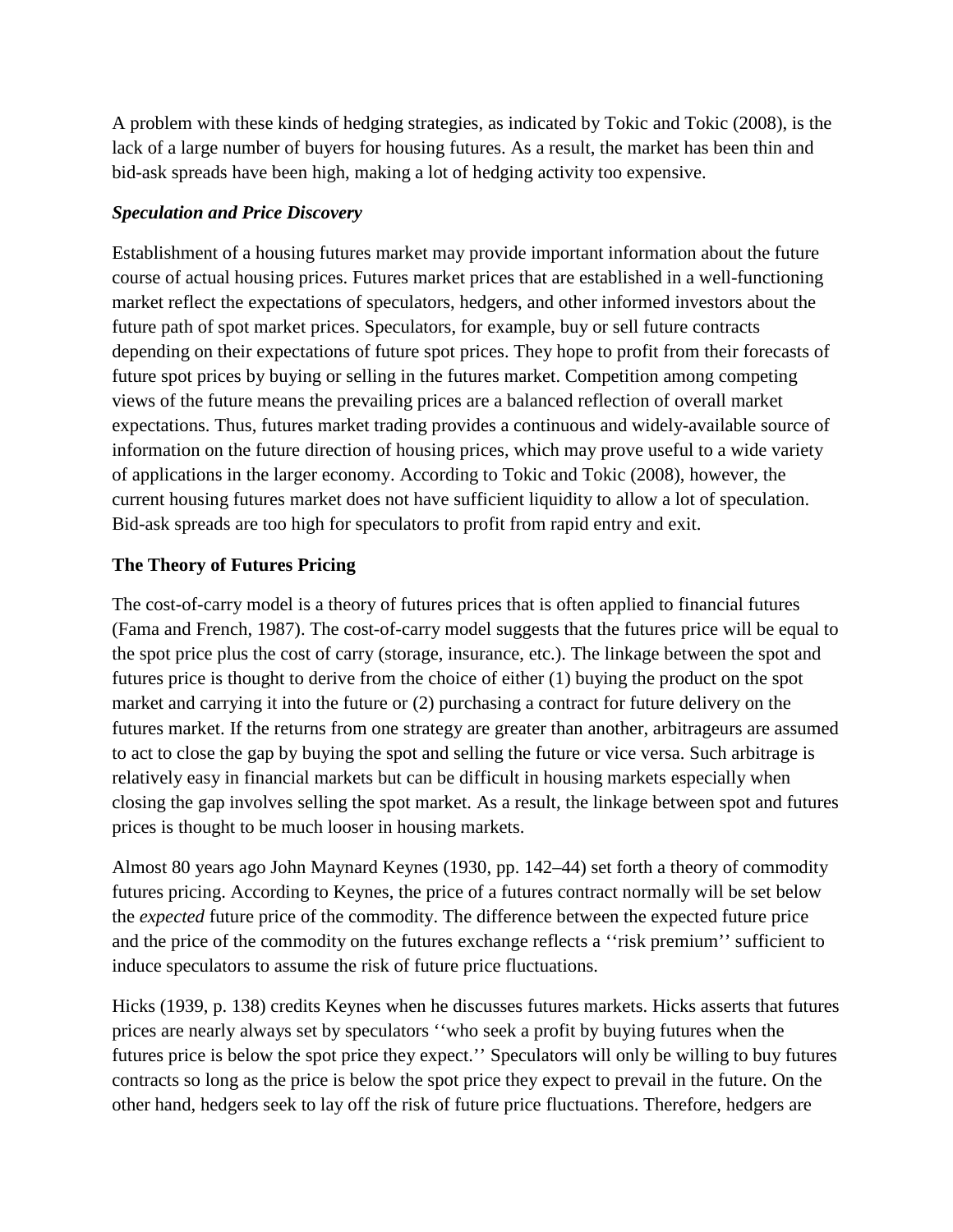A problem with these kinds of hedging strategies, as indicated by Tokic and Tokic (2008), is the lack of a large number of buyers for housing futures. As a result, the market has been thin and bid-ask spreads have been high, making a lot of hedging activity too expensive.

#### *Speculation and Price Discovery*

Establishment of a housing futures market may provide important information about the future course of actual housing prices. Futures market prices that are established in a well-functioning market reflect the expectations of speculators, hedgers, and other informed investors about the future path of spot market prices. Speculators, for example, buy or sell future contracts depending on their expectations of future spot prices. They hope to profit from their forecasts of future spot prices by buying or selling in the futures market. Competition among competing views of the future means the prevailing prices are a balanced reflection of overall market expectations. Thus, futures market trading provides a continuous and widely-available source of information on the future direction of housing prices, which may prove useful to a wide variety of applications in the larger economy. According to Tokic and Tokic (2008), however, the current housing futures market does not have sufficient liquidity to allow a lot of speculation. Bid-ask spreads are too high for speculators to profit from rapid entry and exit.

### **The Theory of Futures Pricing**

The cost-of-carry model is a theory of futures prices that is often applied to financial futures (Fama and French, 1987). The cost-of-carry model suggests that the futures price will be equal to the spot price plus the cost of carry (storage, insurance, etc.). The linkage between the spot and futures price is thought to derive from the choice of either (1) buying the product on the spot market and carrying it into the future or (2) purchasing a contract for future delivery on the futures market. If the returns from one strategy are greater than another, arbitrageurs are assumed to act to close the gap by buying the spot and selling the future or vice versa. Such arbitrage is relatively easy in financial markets but can be difficult in housing markets especially when closing the gap involves selling the spot market. As a result, the linkage between spot and futures prices is thought to be much looser in housing markets.

Almost 80 years ago John Maynard Keynes (1930, pp. 142–44) set forth a theory of commodity futures pricing. According to Keynes, the price of a futures contract normally will be set below the *expected* future price of the commodity. The difference between the expected future price and the price of the commodity on the futures exchange reflects a ''risk premium'' sufficient to induce speculators to assume the risk of future price fluctuations.

Hicks (1939, p. 138) credits Keynes when he discusses futures markets. Hicks asserts that futures prices are nearly always set by speculators ''who seek a profit by buying futures when the futures price is below the spot price they expect.'' Speculators will only be willing to buy futures contracts so long as the price is below the spot price they expect to prevail in the future. On the other hand, hedgers seek to lay off the risk of future price fluctuations. Therefore, hedgers are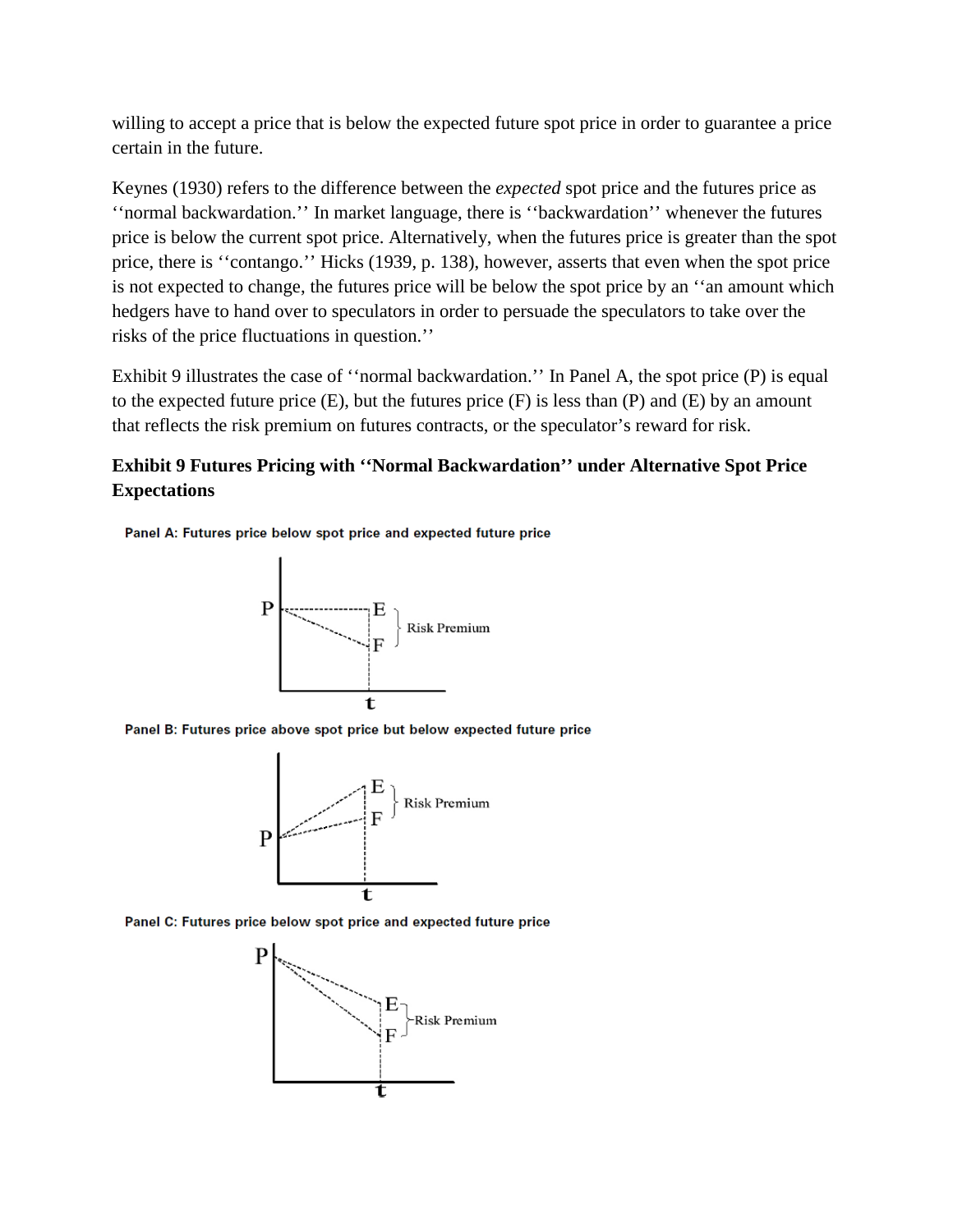willing to accept a price that is below the expected future spot price in order to guarantee a price certain in the future.

Keynes (1930) refers to the difference between the *expected* spot price and the futures price as ''normal backwardation.'' In market language, there is ''backwardation'' whenever the futures price is below the current spot price. Alternatively, when the futures price is greater than the spot price, there is ''contango.'' Hicks (1939, p. 138), however, asserts that even when the spot price is not expected to change, the futures price will be below the spot price by an ''an amount which hedgers have to hand over to speculators in order to persuade the speculators to take over the risks of the price fluctuations in question.''

Exhibit 9 illustrates the case of ''normal backwardation.'' In Panel A, the spot price (P) is equal to the expected future price  $(E)$ , but the futures price  $(F)$  is less than  $(P)$  and  $(E)$  by an amount that reflects the risk premium on futures contracts, or the speculator's reward for risk.

# **Exhibit 9 Futures Pricing with ''Normal Backwardation'' under Alternative Spot Price Expectations**

Panel A: Futures price below spot price and expected future price



Panel B: Futures price above spot price but below expected future price



Panel C: Futures price below spot price and expected future price

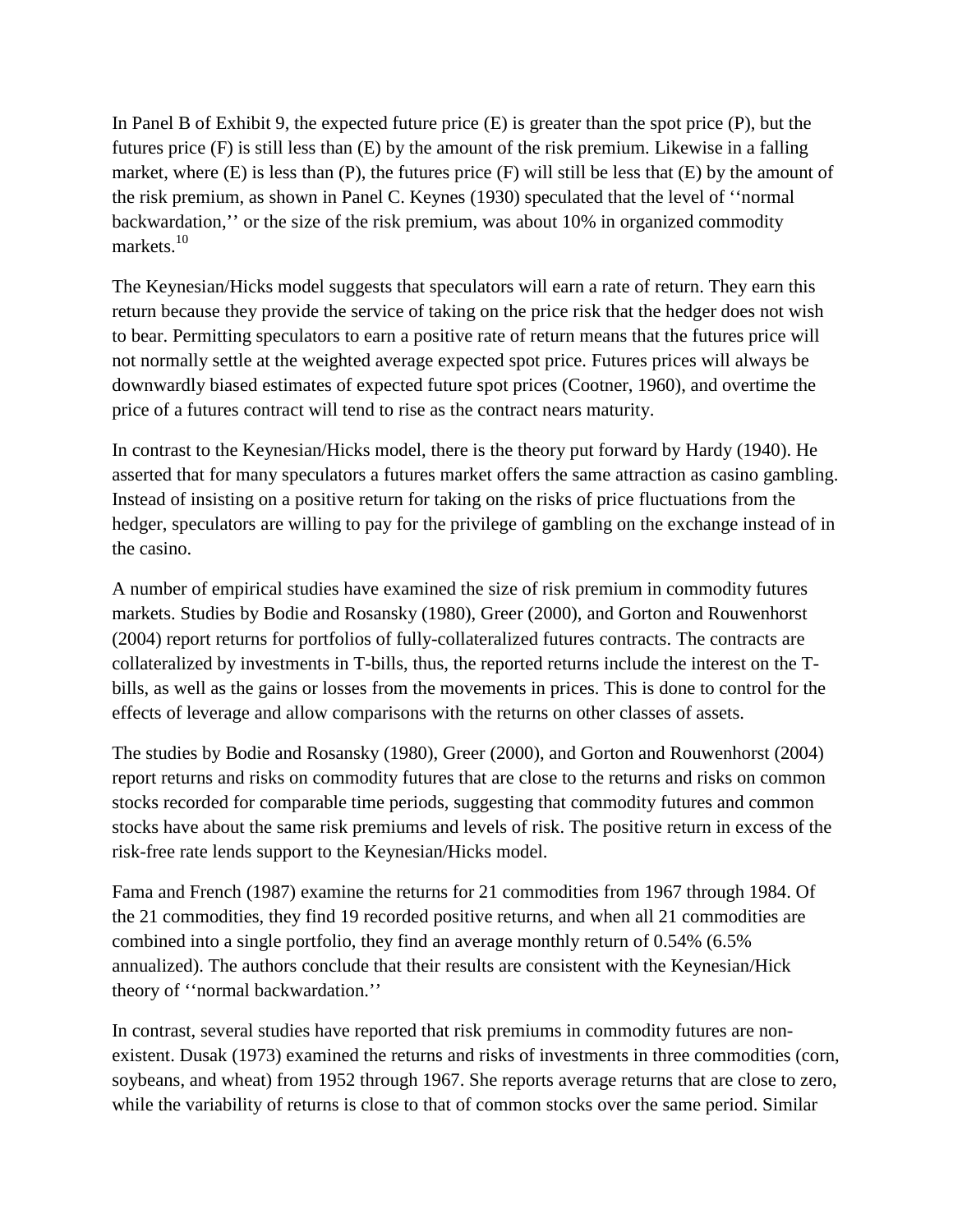In Panel B of Exhibit 9, the expected future price (E) is greater than the spot price (P), but the futures price (F) is still less than (E) by the amount of the risk premium. Likewise in a falling market, where  $(E)$  is less than  $(P)$ , the futures price  $(F)$  will still be less that  $(E)$  by the amount of the risk premium, as shown in Panel C. Keynes (1930) speculated that the level of ''normal backwardation,'' or the size of the risk premium, was about 10% in organized commodity markets.<sup>10</sup>

The Keynesian/Hicks model suggests that speculators will earn a rate of return. They earn this return because they provide the service of taking on the price risk that the hedger does not wish to bear. Permitting speculators to earn a positive rate of return means that the futures price will not normally settle at the weighted average expected spot price. Futures prices will always be downwardly biased estimates of expected future spot prices (Cootner, 1960), and overtime the price of a futures contract will tend to rise as the contract nears maturity.

In contrast to the Keynesian/Hicks model, there is the theory put forward by Hardy (1940). He asserted that for many speculators a futures market offers the same attraction as casino gambling. Instead of insisting on a positive return for taking on the risks of price fluctuations from the hedger, speculators are willing to pay for the privilege of gambling on the exchange instead of in the casino.

A number of empirical studies have examined the size of risk premium in commodity futures markets. Studies by Bodie and Rosansky (1980), Greer (2000), and Gorton and Rouwenhorst (2004) report returns for portfolios of fully-collateralized futures contracts. The contracts are collateralized by investments in T-bills, thus, the reported returns include the interest on the Tbills, as well as the gains or losses from the movements in prices. This is done to control for the effects of leverage and allow comparisons with the returns on other classes of assets.

The studies by Bodie and Rosansky (1980), Greer (2000), and Gorton and Rouwenhorst (2004) report returns and risks on commodity futures that are close to the returns and risks on common stocks recorded for comparable time periods, suggesting that commodity futures and common stocks have about the same risk premiums and levels of risk. The positive return in excess of the risk-free rate lends support to the Keynesian/Hicks model.

Fama and French (1987) examine the returns for 21 commodities from 1967 through 1984. Of the 21 commodities, they find 19 recorded positive returns, and when all 21 commodities are combined into a single portfolio, they find an average monthly return of 0.54% (6.5% annualized). The authors conclude that their results are consistent with the Keynesian/Hick theory of ''normal backwardation.''

In contrast, several studies have reported that risk premiums in commodity futures are nonexistent. Dusak (1973) examined the returns and risks of investments in three commodities (corn, soybeans, and wheat) from 1952 through 1967. She reports average returns that are close to zero, while the variability of returns is close to that of common stocks over the same period. Similar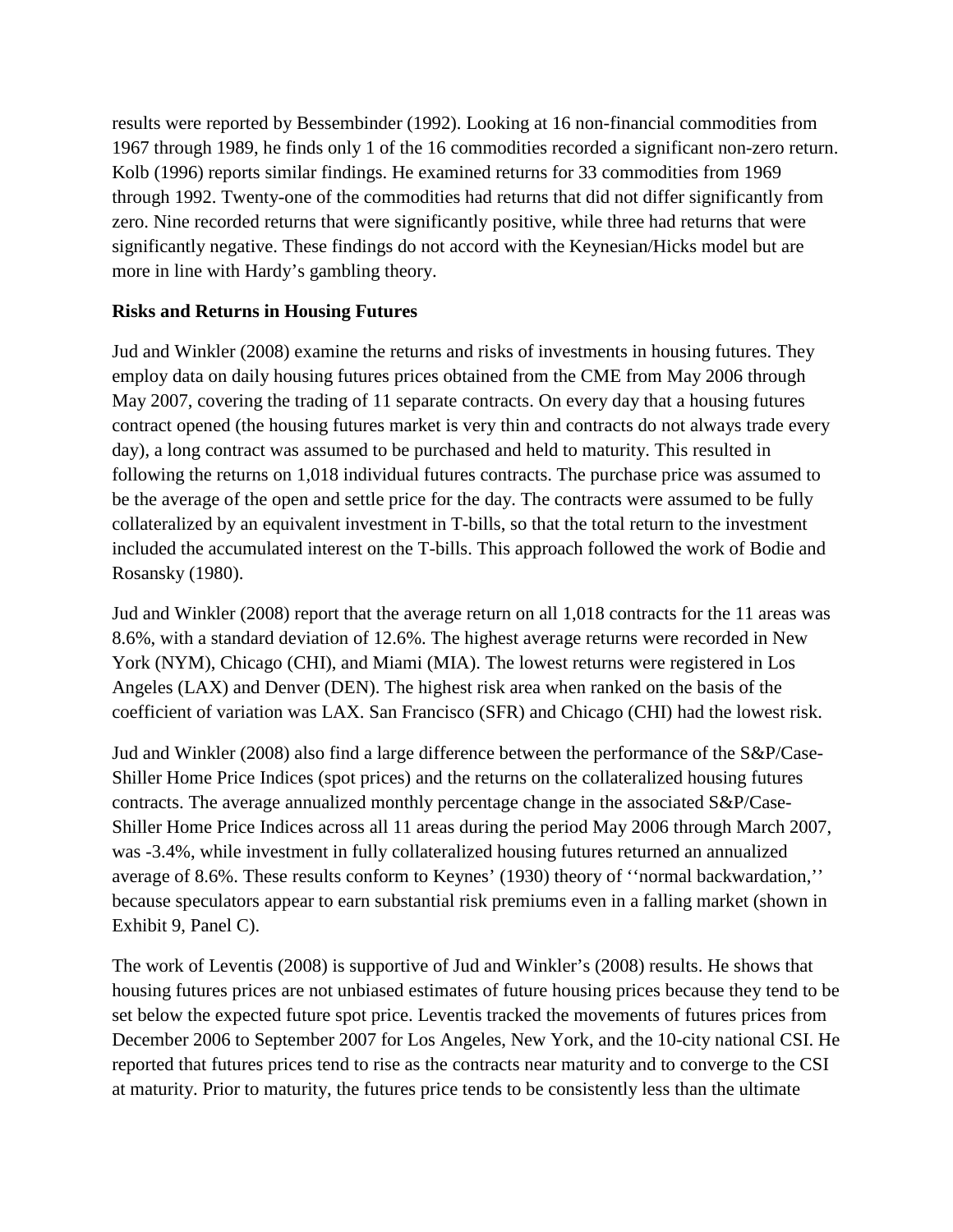results were reported by Bessembinder (1992). Looking at 16 non-financial commodities from 1967 through 1989, he finds only 1 of the 16 commodities recorded a significant non-zero return. Kolb (1996) reports similar findings. He examined returns for 33 commodities from 1969 through 1992. Twenty-one of the commodities had returns that did not differ significantly from zero. Nine recorded returns that were significantly positive, while three had returns that were significantly negative. These findings do not accord with the Keynesian/Hicks model but are more in line with Hardy's gambling theory.

#### **Risks and Returns in Housing Futures**

Jud and Winkler (2008) examine the returns and risks of investments in housing futures. They employ data on daily housing futures prices obtained from the CME from May 2006 through May 2007, covering the trading of 11 separate contracts. On every day that a housing futures contract opened (the housing futures market is very thin and contracts do not always trade every day), a long contract was assumed to be purchased and held to maturity. This resulted in following the returns on 1,018 individual futures contracts. The purchase price was assumed to be the average of the open and settle price for the day. The contracts were assumed to be fully collateralized by an equivalent investment in T-bills, so that the total return to the investment included the accumulated interest on the T-bills. This approach followed the work of Bodie and Rosansky (1980).

Jud and Winkler (2008) report that the average return on all 1,018 contracts for the 11 areas was 8.6%, with a standard deviation of 12.6%. The highest average returns were recorded in New York (NYM), Chicago (CHI), and Miami (MIA). The lowest returns were registered in Los Angeles (LAX) and Denver (DEN). The highest risk area when ranked on the basis of the coefficient of variation was LAX. San Francisco (SFR) and Chicago (CHI) had the lowest risk.

Jud and Winkler (2008) also find a large difference between the performance of the S&P/Case-Shiller Home Price Indices (spot prices) and the returns on the collateralized housing futures contracts. The average annualized monthly percentage change in the associated S&P/Case-Shiller Home Price Indices across all 11 areas during the period May 2006 through March 2007, was -3.4%, while investment in fully collateralized housing futures returned an annualized average of 8.6%. These results conform to Keynes' (1930) theory of ''normal backwardation,'' because speculators appear to earn substantial risk premiums even in a falling market (shown in Exhibit 9, Panel C).

The work of Leventis (2008) is supportive of Jud and Winkler's (2008) results. He shows that housing futures prices are not unbiased estimates of future housing prices because they tend to be set below the expected future spot price. Leventis tracked the movements of futures prices from December 2006 to September 2007 for Los Angeles, New York, and the 10-city national CSI. He reported that futures prices tend to rise as the contracts near maturity and to converge to the CSI at maturity. Prior to maturity, the futures price tends to be consistently less than the ultimate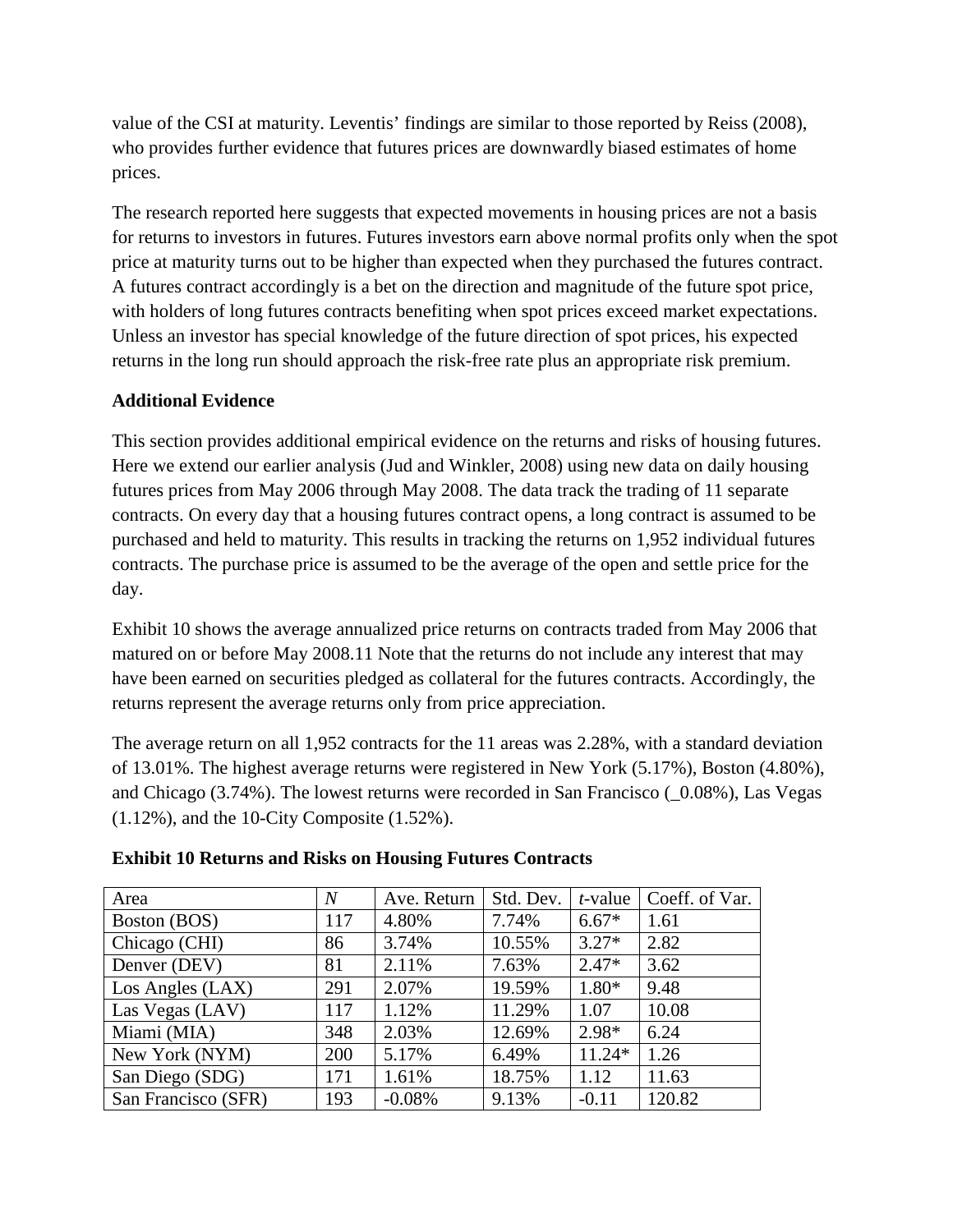value of the CSI at maturity. Leventis' findings are similar to those reported by Reiss (2008), who provides further evidence that futures prices are downwardly biased estimates of home prices.

The research reported here suggests that expected movements in housing prices are not a basis for returns to investors in futures. Futures investors earn above normal profits only when the spot price at maturity turns out to be higher than expected when they purchased the futures contract. A futures contract accordingly is a bet on the direction and magnitude of the future spot price, with holders of long futures contracts benefiting when spot prices exceed market expectations. Unless an investor has special knowledge of the future direction of spot prices, his expected returns in the long run should approach the risk-free rate plus an appropriate risk premium.

### **Additional Evidence**

This section provides additional empirical evidence on the returns and risks of housing futures. Here we extend our earlier analysis (Jud and Winkler, 2008) using new data on daily housing futures prices from May 2006 through May 2008. The data track the trading of 11 separate contracts. On every day that a housing futures contract opens, a long contract is assumed to be purchased and held to maturity. This results in tracking the returns on 1,952 individual futures contracts. The purchase price is assumed to be the average of the open and settle price for the day.

Exhibit 10 shows the average annualized price returns on contracts traded from May 2006 that matured on or before May 2008.11 Note that the returns do not include any interest that may have been earned on securities pledged as collateral for the futures contracts. Accordingly, the returns represent the average returns only from price appreciation.

The average return on all 1,952 contracts for the 11 areas was 2.28%, with a standard deviation of 13.01%. The highest average returns were registered in New York (5.17%), Boston (4.80%), and Chicago (3.74%). The lowest returns were recorded in San Francisco ( $0.08\%$ ), Las Vegas (1.12%), and the 10-City Composite (1.52%).

| Area                | $\overline{N}$ | Ave. Return | Std. Dev. | $t$ -value | Coeff. of Var. |
|---------------------|----------------|-------------|-----------|------------|----------------|
| Boston (BOS)        | 117            | 4.80%       | 7.74%     | $6.67*$    | 1.61           |
| Chicago (CHI)       | 86             | 3.74%       | 10.55%    | $3.27*$    | 2.82           |
| Denver (DEV)        | 81             | 2.11%       | 7.63%     | $2.47*$    | 3.62           |
| Los Angles (LAX)    | 291            | 2.07%       | 19.59%    | $1.80*$    | 9.48           |
| Las Vegas (LAV)     | 117            | 1.12%       | 11.29%    | 1.07       | 10.08          |
| Miami (MIA)         | 348            | 2.03%       | 12.69%    | $2.98*$    | 6.24           |
| New York (NYM)      | 200            | 5.17%       | 6.49%     | $11.24*$   | 1.26           |
| San Diego (SDG)     | 171            | 1.61%       | 18.75%    | 1.12       | 11.63          |
| San Francisco (SFR) | 193            | $-0.08%$    | 9.13%     | $-0.11$    | 120.82         |

#### **Exhibit 10 Returns and Risks on Housing Futures Contracts**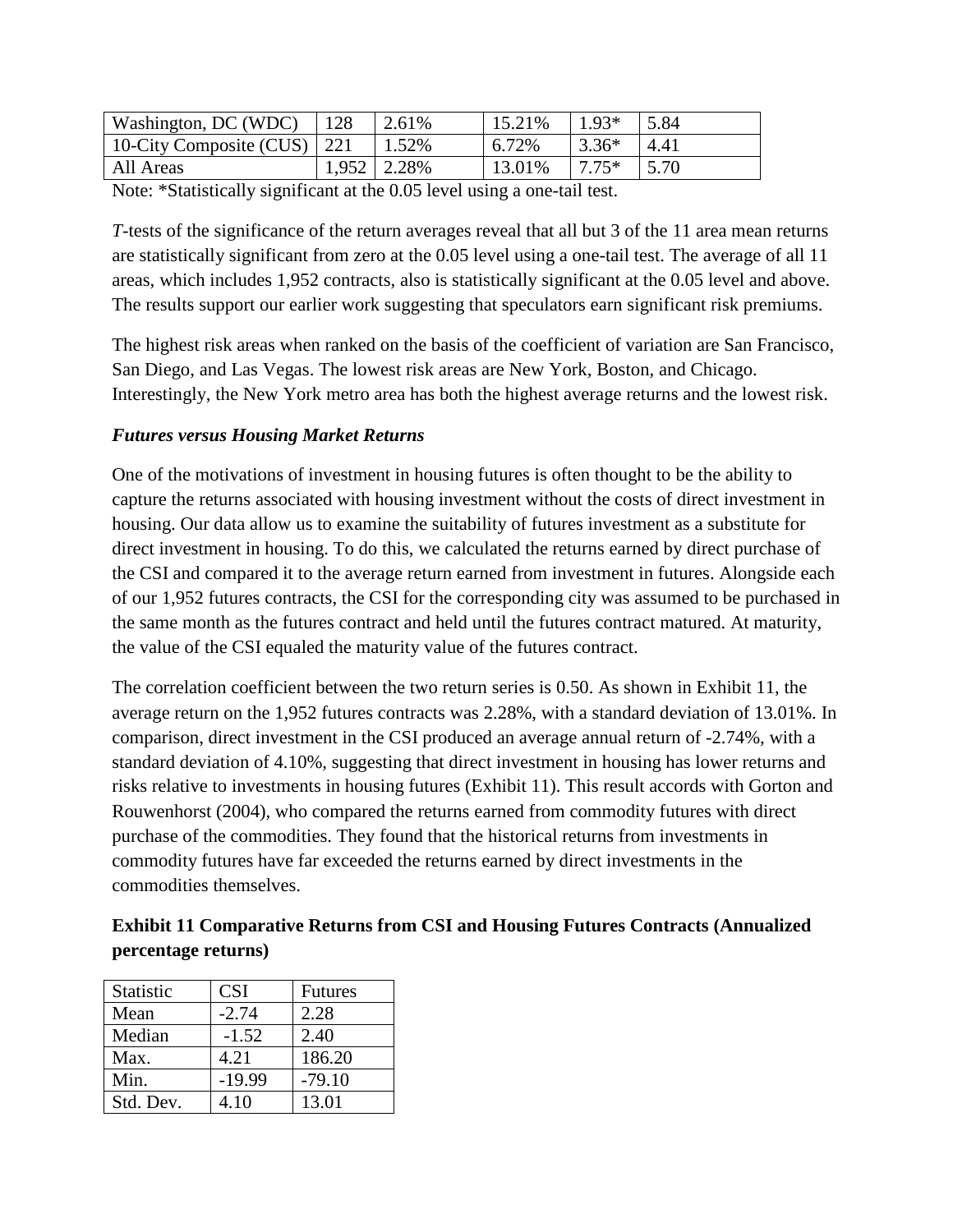| Washington, DC (WDC)          | 128 | 2.61%           | 15.21% | $1.93*$  | 5.84 |
|-------------------------------|-----|-----------------|--------|----------|------|
| 10-City Composite (CUS)   221 |     | 1.52%           | 6.72%  | $3.36*$  | 4.41 |
| All Areas                     |     | $1,952$   2.28% | 13.01% | $17.75*$ | 5.70 |

Note: \*Statistically significant at the 0.05 level using a one-tail test.

*T*-tests of the significance of the return averages reveal that all but 3 of the 11 area mean returns are statistically significant from zero at the 0.05 level using a one-tail test. The average of all 11 areas, which includes 1,952 contracts, also is statistically significant at the 0.05 level and above. The results support our earlier work suggesting that speculators earn significant risk premiums.

The highest risk areas when ranked on the basis of the coefficient of variation are San Francisco, San Diego, and Las Vegas. The lowest risk areas are New York, Boston, and Chicago. Interestingly, the New York metro area has both the highest average returns and the lowest risk.

### *Futures versus Housing Market Returns*

One of the motivations of investment in housing futures is often thought to be the ability to capture the returns associated with housing investment without the costs of direct investment in housing. Our data allow us to examine the suitability of futures investment as a substitute for direct investment in housing. To do this, we calculated the returns earned by direct purchase of the CSI and compared it to the average return earned from investment in futures. Alongside each of our 1,952 futures contracts, the CSI for the corresponding city was assumed to be purchased in the same month as the futures contract and held until the futures contract matured. At maturity, the value of the CSI equaled the maturity value of the futures contract.

The correlation coefficient between the two return series is 0.50. As shown in Exhibit 11, the average return on the 1,952 futures contracts was 2.28%, with a standard deviation of 13.01%. In comparison, direct investment in the CSI produced an average annual return of -2.74%, with a standard deviation of 4.10%, suggesting that direct investment in housing has lower returns and risks relative to investments in housing futures (Exhibit 11). This result accords with Gorton and Rouwenhorst (2004), who compared the returns earned from commodity futures with direct purchase of the commodities. They found that the historical returns from investments in commodity futures have far exceeded the returns earned by direct investments in the commodities themselves.

**Exhibit 11 Comparative Returns from CSI and Housing Futures Contracts (Annualized percentage returns)**

| Statistic | <b>CSI</b> | <b>Futures</b> |
|-----------|------------|----------------|
| Mean      | $-2.74$    | 2.28           |
| Median    | $-1.52$    | 2.40           |
| Max.      | 4.21       | 186.20         |
| Min.      | $-19.99$   | $-79.10$       |
| Std. Dev. | 4.10       | 13.01          |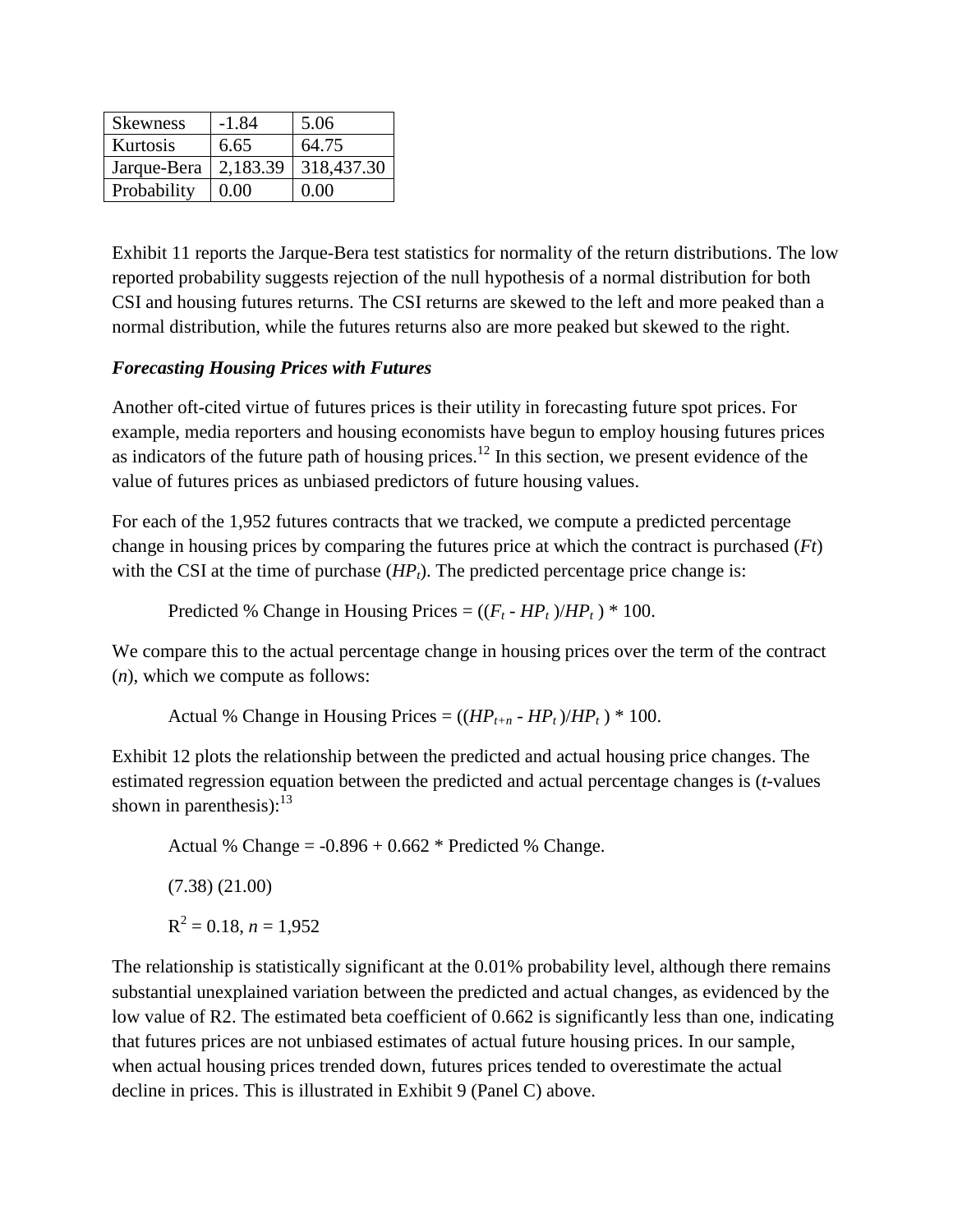| <b>Skewness</b> | $-1.84$  | 5.06       |
|-----------------|----------|------------|
| Kurtosis        | 6.65     | 64.75      |
| Jarque-Bera     | 2,183.39 | 318,437.30 |
| Probability     | 0.00     | 0.00       |

Exhibit 11 reports the Jarque-Bera test statistics for normality of the return distributions. The low reported probability suggests rejection of the null hypothesis of a normal distribution for both CSI and housing futures returns. The CSI returns are skewed to the left and more peaked than a normal distribution, while the futures returns also are more peaked but skewed to the right.

#### *Forecasting Housing Prices with Futures*

Another oft-cited virtue of futures prices is their utility in forecasting future spot prices. For example, media reporters and housing economists have begun to employ housing futures prices as indicators of the future path of housing prices.<sup>12</sup> In this section, we present evidence of the value of futures prices as unbiased predictors of future housing values.

For each of the 1,952 futures contracts that we tracked, we compute a predicted percentage change in housing prices by comparing the futures price at which the contract is purchased (*Ft*) with the CSI at the time of purchase  $(HP_t)$ . The predicted percentage price change is:

Predicted % Change in Housing Prices  $= ((F_t - HP_t)/HP_t) * 100$ .

We compare this to the actual percentage change in housing prices over the term of the contract (*n*), which we compute as follows:

Actual % Change in Housing Prices =  $((HP_{t+n} - HP_t)/HP_t) * 100$ .

Exhibit 12 plots the relationship between the predicted and actual housing price changes. The estimated regression equation between the predicted and actual percentage changes is (*t*-values shown in parenthesis):  $13$ 

Actual % Change =  $-0.896 + 0.662$  \* Predicted % Change. (7.38) (21.00)  $R^2 = 0.18$ ,  $n = 1.952$ 

The relationship is statistically significant at the 0.01% probability level, although there remains substantial unexplained variation between the predicted and actual changes, as evidenced by the low value of R2. The estimated beta coefficient of 0.662 is significantly less than one, indicating that futures prices are not unbiased estimates of actual future housing prices. In our sample, when actual housing prices trended down, futures prices tended to overestimate the actual decline in prices. This is illustrated in Exhibit 9 (Panel C) above.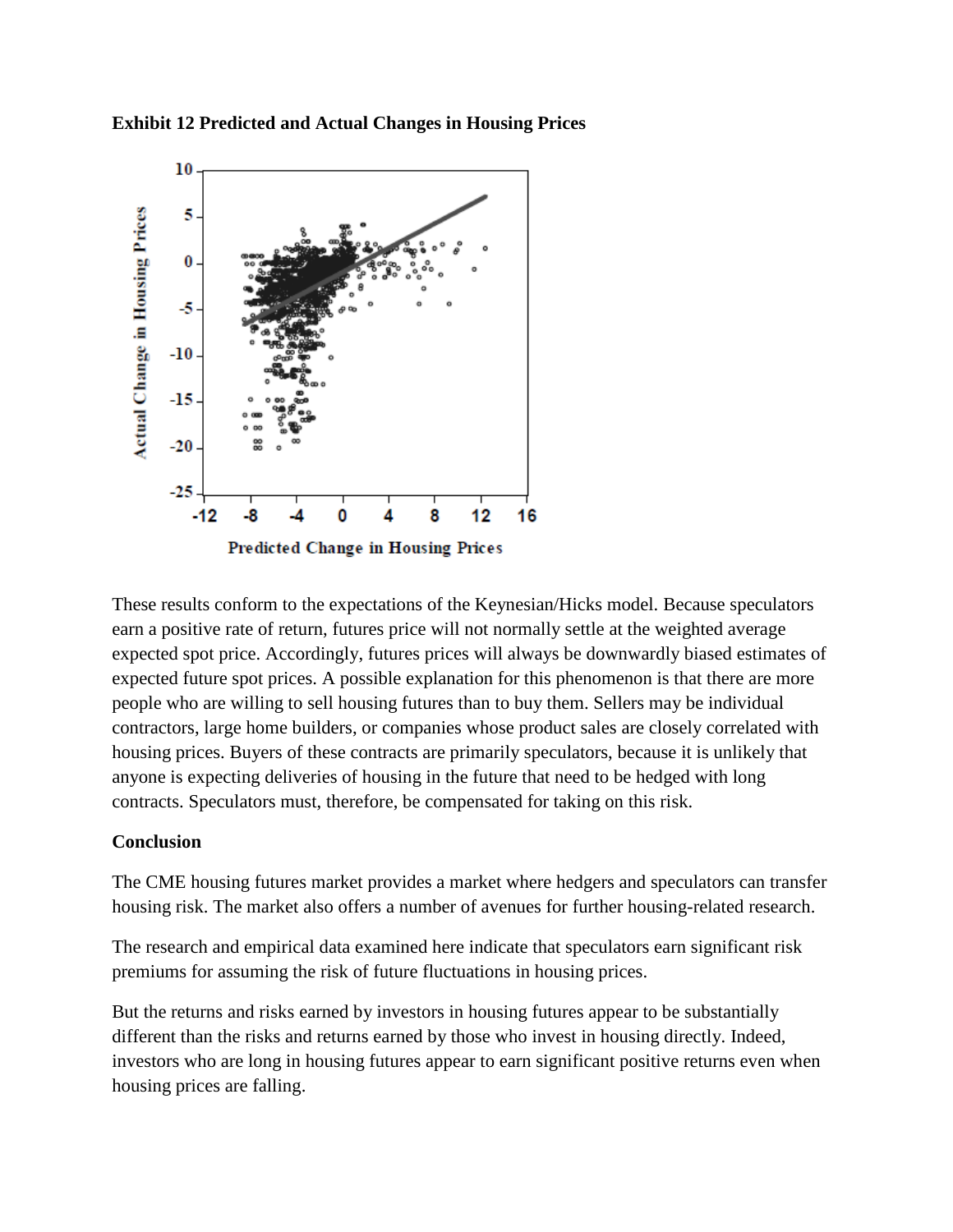**Exhibit 12 Predicted and Actual Changes in Housing Prices**



These results conform to the expectations of the Keynesian/Hicks model. Because speculators earn a positive rate of return, futures price will not normally settle at the weighted average expected spot price. Accordingly, futures prices will always be downwardly biased estimates of expected future spot prices. A possible explanation for this phenomenon is that there are more people who are willing to sell housing futures than to buy them. Sellers may be individual contractors, large home builders, or companies whose product sales are closely correlated with housing prices. Buyers of these contracts are primarily speculators, because it is unlikely that anyone is expecting deliveries of housing in the future that need to be hedged with long contracts. Speculators must, therefore, be compensated for taking on this risk.

#### **Conclusion**

The CME housing futures market provides a market where hedgers and speculators can transfer housing risk. The market also offers a number of avenues for further housing-related research.

The research and empirical data examined here indicate that speculators earn significant risk premiums for assuming the risk of future fluctuations in housing prices.

But the returns and risks earned by investors in housing futures appear to be substantially different than the risks and returns earned by those who invest in housing directly. Indeed, investors who are long in housing futures appear to earn significant positive returns even when housing prices are falling.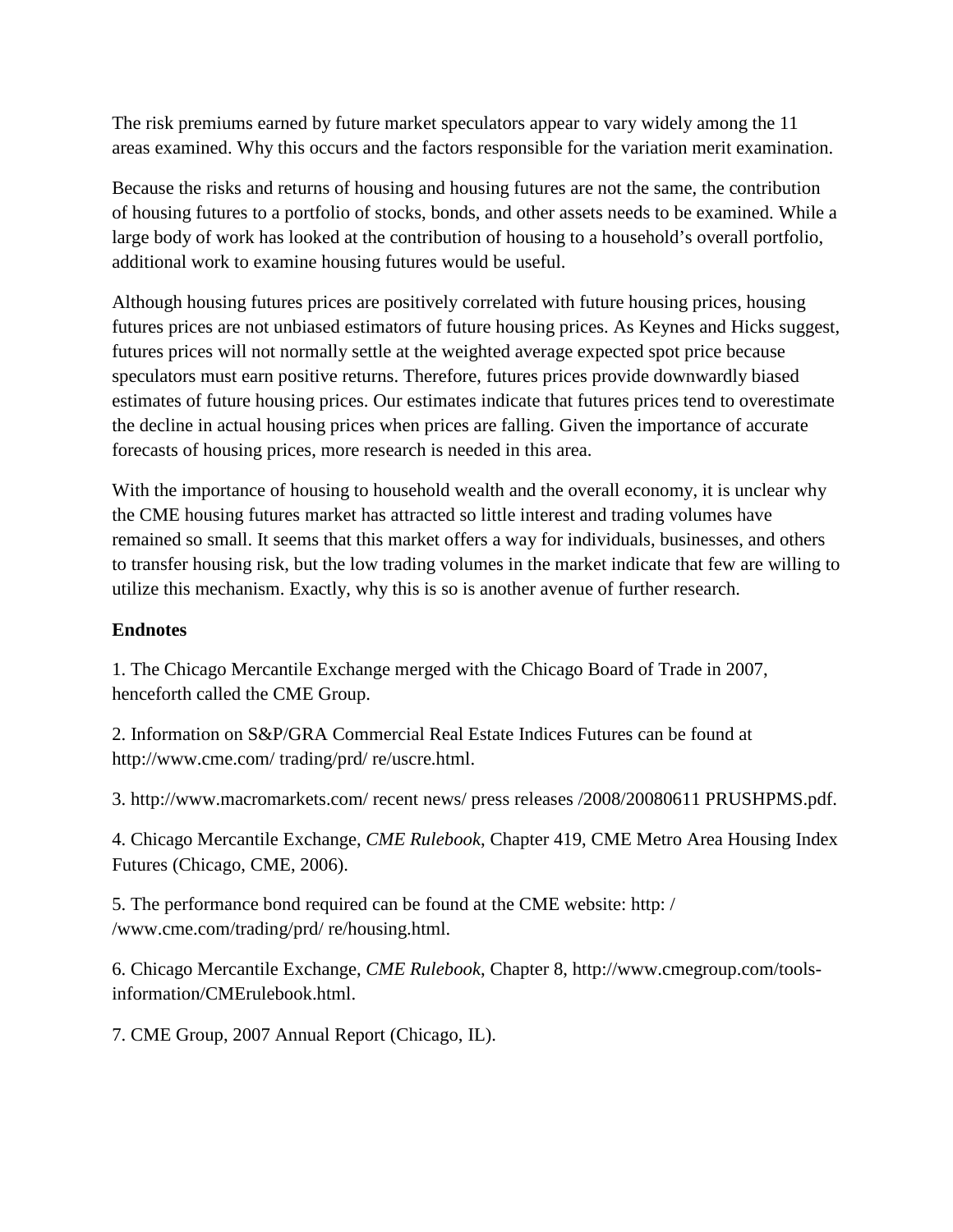The risk premiums earned by future market speculators appear to vary widely among the 11 areas examined. Why this occurs and the factors responsible for the variation merit examination.

Because the risks and returns of housing and housing futures are not the same, the contribution of housing futures to a portfolio of stocks, bonds, and other assets needs to be examined. While a large body of work has looked at the contribution of housing to a household's overall portfolio, additional work to examine housing futures would be useful.

Although housing futures prices are positively correlated with future housing prices, housing futures prices are not unbiased estimators of future housing prices. As Keynes and Hicks suggest, futures prices will not normally settle at the weighted average expected spot price because speculators must earn positive returns. Therefore, futures prices provide downwardly biased estimates of future housing prices. Our estimates indicate that futures prices tend to overestimate the decline in actual housing prices when prices are falling. Given the importance of accurate forecasts of housing prices, more research is needed in this area.

With the importance of housing to household wealth and the overall economy, it is unclear why the CME housing futures market has attracted so little interest and trading volumes have remained so small. It seems that this market offers a way for individuals, businesses, and others to transfer housing risk, but the low trading volumes in the market indicate that few are willing to utilize this mechanism. Exactly, why this is so is another avenue of further research.

# **Endnotes**

1. The Chicago Mercantile Exchange merged with the Chicago Board of Trade in 2007, henceforth called the CME Group.

2. Information on S&P/GRA Commercial Real Estate Indices Futures can be found at http://www.cme.com/ trading/prd/ re/uscre.html.

3. http://www.macromarkets.com/ recent news/ press releases /2008/20080611 PRUSHPMS.pdf.

4. Chicago Mercantile Exchange, *CME Rulebook*, Chapter 419, CME Metro Area Housing Index Futures (Chicago, CME, 2006).

5. The performance bond required can be found at the CME website: http: / /www.cme.com/trading/prd/ re/housing.html.

6. Chicago Mercantile Exchange, *CME Rulebook*, Chapter 8, http://www.cmegroup.com/toolsinformation/CMErulebook.html.

7. CME Group, 2007 Annual Report (Chicago, IL).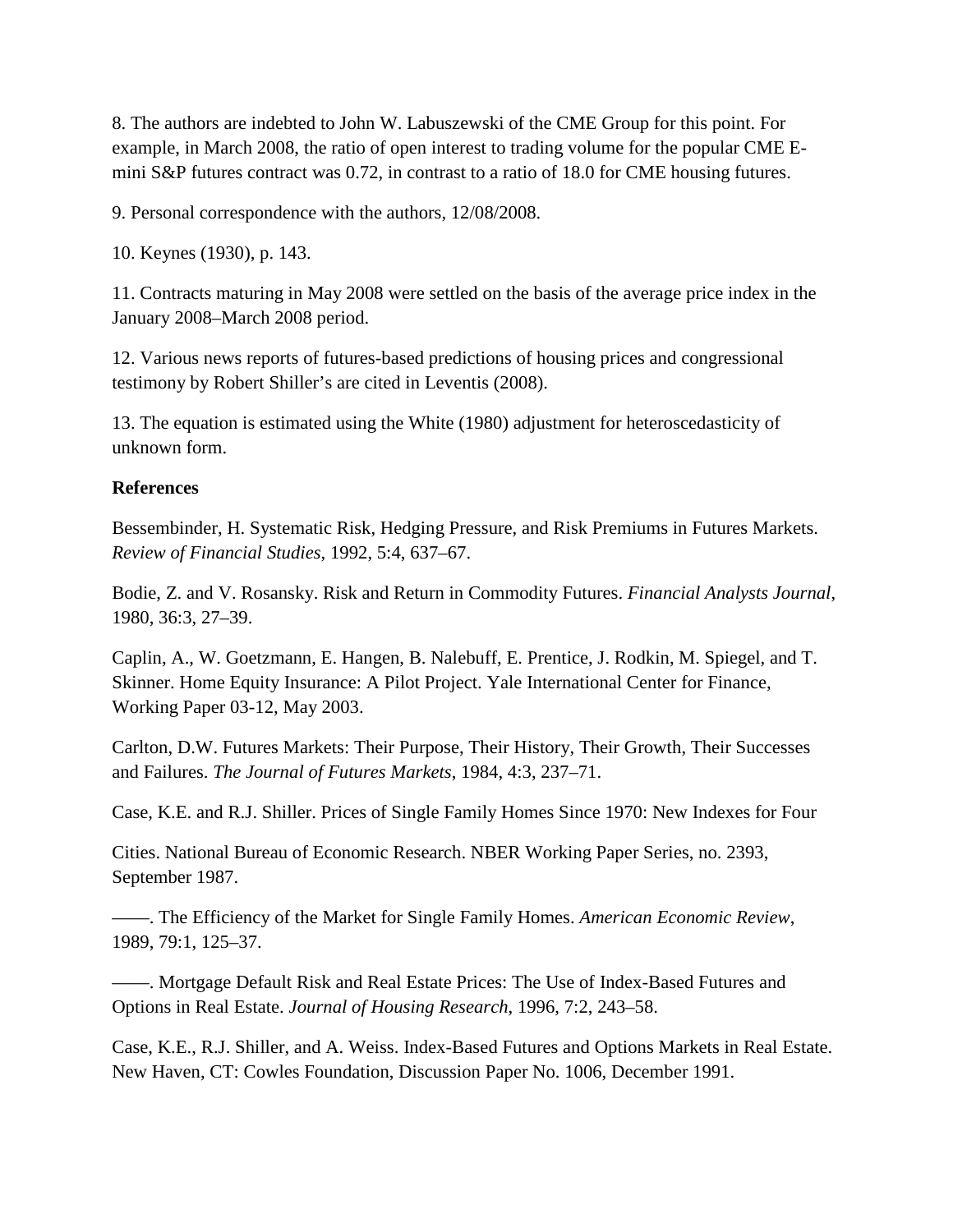8. The authors are indebted to John W. Labuszewski of the CME Group for this point. For example, in March 2008, the ratio of open interest to trading volume for the popular CME Emini S&P futures contract was 0.72, in contrast to a ratio of 18.0 for CME housing futures.

9. Personal correspondence with the authors, 12/08/2008.

10. Keynes (1930), p. 143.

11. Contracts maturing in May 2008 were settled on the basis of the average price index in the January 2008–March 2008 period.

12. Various news reports of futures-based predictions of housing prices and congressional testimony by Robert Shiller's are cited in Leventis (2008).

13. The equation is estimated using the White (1980) adjustment for heteroscedasticity of unknown form.

#### **References**

Bessembinder, H. Systematic Risk, Hedging Pressure, and Risk Premiums in Futures Markets. *Review of Financial Studies*, 1992, 5:4, 637–67.

Bodie, Z. and V. Rosansky. Risk and Return in Commodity Futures. *Financial Analysts Journal*, 1980, 36:3, 27–39.

Caplin, A., W. Goetzmann, E. Hangen, B. Nalebuff, E. Prentice, J. Rodkin, M. Spiegel, and T. Skinner. Home Equity Insurance: A Pilot Project. Yale International Center for Finance, Working Paper 03-12, May 2003.

Carlton, D.W. Futures Markets: Their Purpose, Their History, Their Growth, Their Successes and Failures. *The Journal of Futures Markets*, 1984, 4:3, 237–71.

Case, K.E. and R.J. Shiller. Prices of Single Family Homes Since 1970: New Indexes for Four

Cities. National Bureau of Economic Research. NBER Working Paper Series, no. 2393, September 1987.

——. The Efficiency of the Market for Single Family Homes. *American Economic Review*, 1989, 79:1, 125–37.

——. Mortgage Default Risk and Real Estate Prices: The Use of Index-Based Futures and Options in Real Estate. *Journal of Housing Research*, 1996, 7:2, 243–58.

Case, K.E., R.J. Shiller, and A. Weiss. Index-Based Futures and Options Markets in Real Estate. New Haven, CT: Cowles Foundation, Discussion Paper No. 1006, December 1991.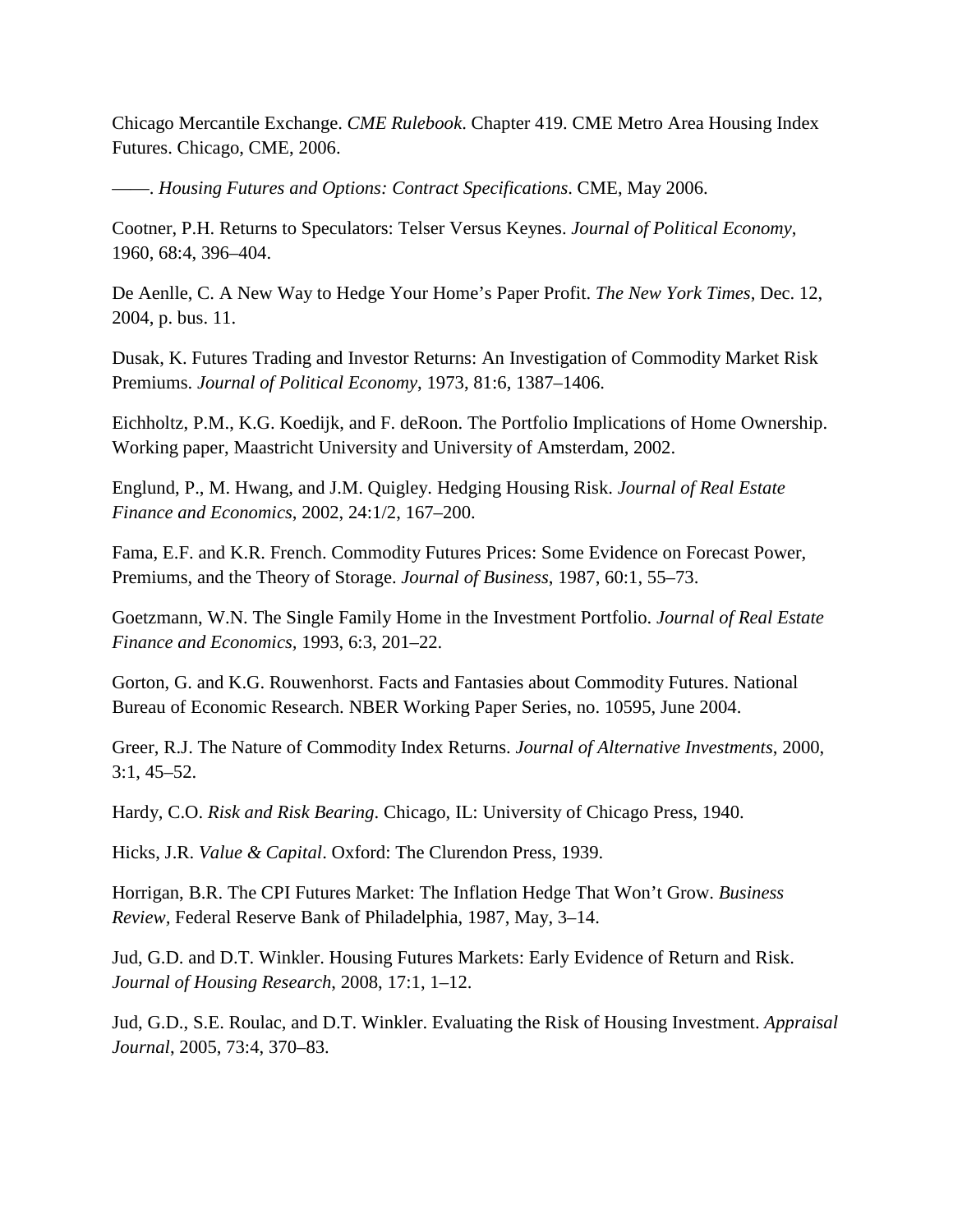Chicago Mercantile Exchange. *CME Rulebook*. Chapter 419. CME Metro Area Housing Index Futures. Chicago, CME, 2006.

——. *Housing Futures and Options: Contract Specifications*. CME, May 2006.

Cootner, P.H. Returns to Speculators: Telser Versus Keynes. *Journal of Political Economy*, 1960, 68:4, 396–404.

De Aenlle, C. A New Way to Hedge Your Home's Paper Profit. *The New York Times*, Dec. 12, 2004, p. bus. 11.

Dusak, K. Futures Trading and Investor Returns: An Investigation of Commodity Market Risk Premiums. *Journal of Political Economy*, 1973, 81:6, 1387–1406.

Eichholtz, P.M., K.G. Koedijk, and F. deRoon. The Portfolio Implications of Home Ownership. Working paper, Maastricht University and University of Amsterdam, 2002.

Englund, P., M. Hwang, and J.M. Quigley. Hedging Housing Risk. *Journal of Real Estate Finance and Economics*, 2002, 24:1/2, 167–200.

Fama, E.F. and K.R. French. Commodity Futures Prices: Some Evidence on Forecast Power, Premiums, and the Theory of Storage. *Journal of Business*, 1987, 60:1, 55–73.

Goetzmann, W.N. The Single Family Home in the Investment Portfolio. *Journal of Real Estate Finance and Economics,* 1993, 6:3, 201–22.

Gorton, G. and K.G. Rouwenhorst. Facts and Fantasies about Commodity Futures. National Bureau of Economic Research. NBER Working Paper Series, no. 10595, June 2004.

Greer, R.J. The Nature of Commodity Index Returns. *Journal of Alternative Investments*, 2000, 3:1, 45–52.

Hardy, C.O. *Risk and Risk Bearing*. Chicago, IL: University of Chicago Press, 1940.

Hicks, J.R. *Value & Capital*. Oxford: The Clurendon Press, 1939.

Horrigan, B.R. The CPI Futures Market: The Inflation Hedge That Won't Grow. *Business Review,* Federal Reserve Bank of Philadelphia, 1987, May, 3–14.

Jud, G.D. and D.T. Winkler. Housing Futures Markets: Early Evidence of Return and Risk. *Journal of Housing Research*, 2008, 17:1, 1–12.

Jud, G.D., S.E. Roulac, and D.T. Winkler. Evaluating the Risk of Housing Investment. *Appraisal Journal*, 2005, 73:4, 370–83.